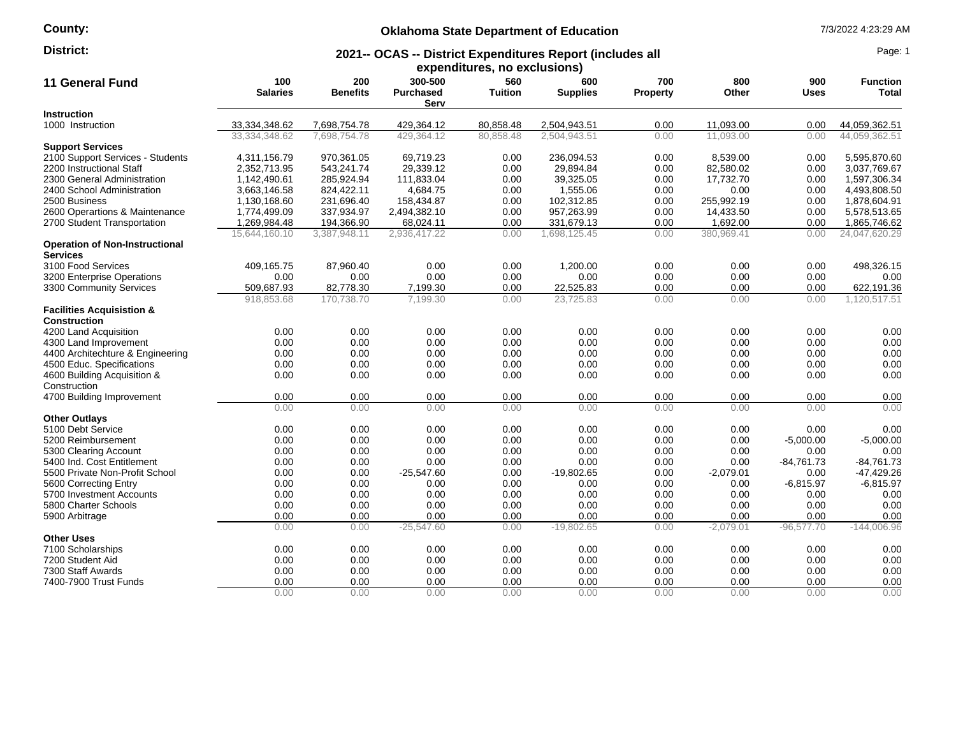## **County:**

# **Oklahoma State Department of Education** 7/3/2022 4:23:29 AM

#### **2021-- OCAS -- District Expenditures Report (includes all District:** Page: 1

|                                                             |                        |                        |                                     | expenditures, no exclusions) |                        |                        |              |                    |                          |
|-------------------------------------------------------------|------------------------|------------------------|-------------------------------------|------------------------------|------------------------|------------------------|--------------|--------------------|--------------------------|
| <b>11 General Fund</b>                                      | 100<br><b>Salaries</b> | 200<br><b>Benefits</b> | 300-500<br><b>Purchased</b><br>Serv | 560<br>Tuition               | 600<br><b>Supplies</b> | 700<br><b>Property</b> | 800<br>Other | 900<br><b>Uses</b> | <b>Function</b><br>Total |
| Instruction                                                 |                        |                        |                                     |                              |                        |                        |              |                    |                          |
| 1000 Instruction                                            | 33,334,348.62          | 7,698,754.78           | 429,364.12                          | 80,858.48                    | 2,504,943.51           | 0.00                   | 11,093.00    | 0.00               | 44,059,362.51            |
|                                                             | 33.334.348.62          | 7.698.754.78           | 429.364.12                          | 80.858.48                    | 2.504.943.51           | 0.00                   | 11.093.00    | 0.00               | 44.059.362.51            |
| <b>Support Services</b>                                     |                        |                        |                                     |                              |                        |                        |              |                    |                          |
| 2100 Support Services - Students                            | 4,311,156.79           | 970,361.05             | 69,719.23                           | 0.00                         | 236,094.53             | 0.00                   | 8,539.00     | 0.00               | 5,595,870.60             |
| 2200 Instructional Staff                                    | 2,352,713.95           | 543,241.74             | 29,339.12                           | 0.00                         | 29,894.84              | 0.00                   | 82,580.02    | 0.00               | 3,037,769.67             |
| 2300 General Administration                                 | 1,142,490.61           | 285,924.94             | 111,833.04                          | 0.00                         | 39,325.05              | 0.00                   | 17,732.70    | 0.00               | 1,597,306.34             |
| 2400 School Administration                                  | 3,663,146.58           | 824,422.11             | 4,684.75                            | 0.00                         | 1,555.06               | 0.00                   | 0.00         | 0.00               | 4,493,808.50             |
| 2500 Business                                               | 1,130,168.60           | 231,696.40             | 158,434.87                          | 0.00                         | 102,312.85             | 0.00                   | 255,992.19   | 0.00               | 1,878,604.91             |
| 2600 Operartions & Maintenance                              | 1,774,499.09           | 337,934.97             | 2,494,382.10                        | 0.00                         | 957,263.99             | 0.00                   | 14,433.50    | 0.00               | 5,578,513.65             |
| 2700 Student Transportation                                 | 1,269,984.48           | 194,366.90             | 68,024.11                           | 0.00                         | 331,679.13             | 0.00                   | 1,692.00     | 0.00               | 1,865,746.62             |
|                                                             | 15,644,160.10          | 3,387,948.11           | 2,936,417.22                        | 0.00                         | 1,698,125.45           | 0.00                   | 380,969.41   | 0.00               | 24,047,620.29            |
| <b>Operation of Non-Instructional</b><br><b>Services</b>    |                        |                        |                                     |                              |                        |                        |              |                    |                          |
| 3100 Food Services                                          | 409,165.75             | 87,960.40              | 0.00                                | 0.00                         | 1,200.00               | 0.00                   | 0.00         | 0.00               | 498,326.15               |
| 3200 Enterprise Operations                                  | 0.00                   | 0.00                   | 0.00                                | 0.00                         | 0.00                   | 0.00                   | 0.00         | 0.00               | 0.00                     |
| 3300 Community Services                                     | 509,687.93             | 82,778.30              | 7,199.30                            | 0.00                         | 22,525.83              | 0.00                   | 0.00         | 0.00               | 622,191.36               |
|                                                             | 918,853.68             | 170,738.70             | 7,199.30                            | 0.00                         | 23,725.83              | 0.00                   | 0.00         | 0.00               | 1,120,517.51             |
| <b>Facilities Acquisistion &amp;</b><br><b>Construction</b> |                        |                        |                                     |                              |                        |                        |              |                    |                          |
| 4200 Land Acquisition                                       | 0.00                   | 0.00                   | 0.00                                | 0.00                         | 0.00                   | 0.00                   | 0.00         | 0.00               | 0.00                     |
| 4300 Land Improvement                                       | 0.00                   | 0.00                   | 0.00                                | 0.00                         | 0.00                   | 0.00                   | 0.00         | 0.00               | 0.00                     |
| 4400 Architechture & Engineering                            | 0.00                   | 0.00                   | 0.00                                | 0.00                         | 0.00                   | 0.00                   | 0.00         | 0.00               | 0.00                     |
| 4500 Educ. Specifications                                   | 0.00                   | 0.00                   | 0.00                                | 0.00                         | 0.00                   | 0.00                   | 0.00         | 0.00               | 0.00                     |
| 4600 Building Acquisition &                                 | 0.00                   | 0.00                   | 0.00                                | 0.00                         | 0.00                   | 0.00                   | 0.00         | 0.00               | 0.00                     |
| Construction                                                |                        |                        |                                     |                              |                        |                        |              |                    |                          |
| 4700 Building Improvement                                   | 0.00                   | 0.00                   | 0.00                                | 0.00                         | 0.00                   | 0.00                   | 0.00         | 0.00               | 0.00                     |
|                                                             | 0.00                   | 0.00                   | 0.00                                | 0.00                         | 0.00                   | 0.00                   | 0.00         | 0.00               | 0.00                     |
| <b>Other Outlays</b>                                        |                        |                        |                                     |                              |                        |                        |              |                    |                          |
| 5100 Debt Service                                           | 0.00                   | 0.00                   | 0.00                                | 0.00                         | 0.00                   | 0.00                   | 0.00         | 0.00               | 0.00                     |
| 5200 Reimbursement                                          | 0.00                   | 0.00                   | 0.00                                | 0.00                         | 0.00                   | 0.00                   | 0.00         | $-5,000.00$        | $-5,000.00$              |
| 5300 Clearing Account                                       | 0.00                   | 0.00                   | 0.00                                | 0.00                         | 0.00                   | 0.00                   | 0.00         | 0.00               | 0.00                     |
| 5400 Ind. Cost Entitlement                                  | 0.00                   | 0.00                   | 0.00                                | 0.00                         | 0.00                   | 0.00                   | 0.00         | $-84,761.73$       | $-84,761.73$             |
| 5500 Private Non-Profit School                              | 0.00                   | 0.00                   | $-25,547.60$                        | 0.00                         | $-19,802.65$           | 0.00                   | $-2,079.01$  | 0.00               | $-47,429.26$             |
| 5600 Correcting Entry                                       | 0.00                   | 0.00                   | 0.00                                | 0.00                         | 0.00                   | 0.00                   | 0.00         | $-6,815.97$        | $-6,815.97$              |
| 5700 Investment Accounts                                    | 0.00                   | 0.00                   | 0.00                                | 0.00                         | 0.00                   | 0.00                   | 0.00         | 0.00               | 0.00                     |
| 5800 Charter Schools                                        | 0.00                   | 0.00                   | 0.00                                | 0.00                         | 0.00                   | 0.00                   | 0.00         | 0.00               | 0.00                     |
| 5900 Arbitrage                                              | 0.00                   | 0.00                   | 0.00                                | 0.00                         | 0.00                   | 0.00                   | 0.00         | 0.00               | 0.00                     |
|                                                             | 0.00                   | 0.00                   | $-25,547.60$                        | 0.00                         | $-19,802.65$           | 0.00                   | $-2,079.01$  | $-96,577.70$       | $-144,006.96$            |
| <b>Other Uses</b>                                           |                        |                        |                                     |                              |                        |                        |              |                    |                          |
| 7100 Scholarships                                           | 0.00                   | 0.00                   | 0.00                                | 0.00                         | 0.00                   | 0.00                   | 0.00         | 0.00               | 0.00                     |
| 7200 Student Aid                                            | 0.00                   | 0.00                   | 0.00                                | 0.00                         | 0.00                   | 0.00                   | 0.00         | 0.00               | 0.00                     |
| 7300 Staff Awards                                           | 0.00                   | 0.00                   | 0.00                                | 0.00                         | 0.00                   | 0.00                   | 0.00         | 0.00               | 0.00                     |
| 7400-7900 Trust Funds                                       | 0.00                   | 0.00                   | 0.00                                | 0.00                         | 0.00                   | 0.00                   | 0.00         | 0.00               | 0.00                     |
|                                                             | 0.00                   | 0.00                   | 0.00                                | 0.00                         | 0.00                   | 0.00                   | 0.00         | 0.00               | 0.00                     |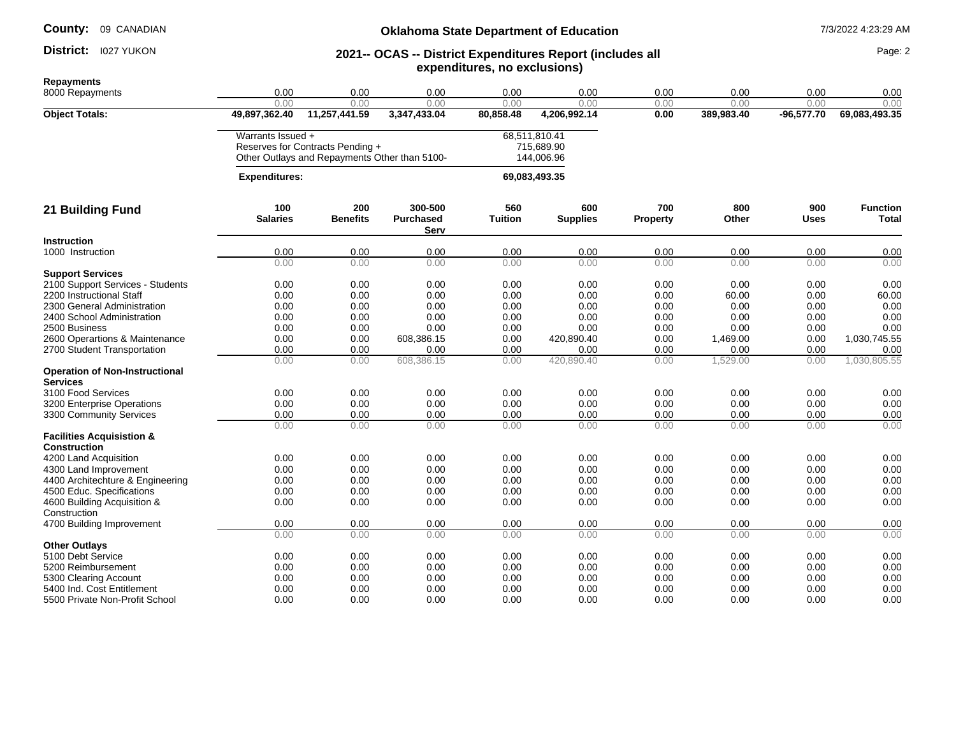### District: 1027 YUKON

## **Oklahoma State Department of Education** 7/3/2022 4:23:29 AM

#### **2021-- OCAS -- District Expenditures Report (includes all expenditures, no exclusions) District:** 1027 YUKON **Page: 2021- 2021-- OCAS -- District Expenditures Report (includes all Page: 2**

| 0.00<br>0.00<br>0.00<br>0.00<br>0.00<br>0.00<br>0.00<br>0.00<br>0.00<br>49,897,362.40<br>11,257,441.59<br>69,083,493.35<br><b>Object Totals:</b><br>3,347,433.04<br>80,858.48<br>4,206,992.14<br>0.00<br>389,983.40<br>$-96,577.70$<br>Warrants Issued +<br>68,511,810.41<br>Reserves for Contracts Pending +<br>715,689.90<br>Other Outlays and Repayments Other than 5100-<br>144,006.96<br><b>Expenditures:</b><br>69,083,493.35<br>200<br>300-500<br>560<br>600<br>700<br>800<br>900<br>100<br>21 Building Fund<br><b>Benefits</b><br><b>Salaries</b><br><b>Purchased</b><br><b>Tuition</b><br><b>Supplies</b><br>Other<br><b>Uses</b><br><b>Property</b><br>Serv<br><b>Instruction</b><br>0.00<br>0.00<br>0.00<br>0.00<br>0.00<br>0.00<br>0.00<br>0.00<br>0.00<br>1000 Instruction<br>0.00<br>0.00<br>0.00<br>0.00<br>0.00<br>0.00<br>0.00<br>0.00<br>0.00<br><b>Support Services</b><br>2100 Support Services - Students<br>0.00<br>0.00<br>0.00<br>0.00<br>0.00<br>0.00<br>0.00<br>0.00<br>2200 Instructional Staff<br>0.00<br>0.00<br>0.00<br>0.00<br>0.00<br>0.00<br>0.00<br>60.00<br>2300 General Administration<br>0.00<br>0.00<br>0.00<br>0.00<br>0.00<br>0.00<br>0.00<br>0.00<br>0.00<br>0.00<br>2400 School Administration<br>0.00<br>0.00<br>0.00<br>0.00<br>0.00<br>0.00<br>0.00<br>0.00<br>0.00<br>0.00<br>2500 Business<br>0.00<br>0.00<br>0.00<br>0.00<br>0.00<br>0.00<br>0.00<br>0.00<br>0.00<br>1,030,745.55<br>2600 Operartions & Maintenance<br>608,386.15<br>0.00<br>420,890.40<br>0.00<br>1,469.00<br>2700 Student Transportation<br>0.00<br>0.00<br>0.00<br>0.00<br>0.00<br>0.00<br>0.00<br>0.00<br>0.00<br>1,030,805.55<br>0.00<br>0.00<br>420,890.40<br>0.00<br>1,529.00<br>608,386.15<br>0.00<br>0.00<br><b>Operation of Non-Instructional</b><br><b>Services</b><br>3100 Food Services<br>0.00<br>0.00<br>0.00<br>0.00<br>0.00<br>0.00<br>0.00<br>0.00<br>0.00<br>0.00<br>0.00<br>0.00<br>0.00<br>0.00<br>0.00<br>0.00<br>3200 Enterprise Operations<br>3300 Community Services<br>0.00<br>0.00<br>0.00<br>0.00<br>0.00<br>0.00<br>0.00<br>0.00<br>0.00<br>0.00<br>0.00<br>0.00<br>0.00<br>0.00<br>0.00<br>0.00<br>0.00<br><b>Facilities Acquisistion &amp;</b><br><b>Construction</b><br>4200 Land Acquisition<br>0.00<br>0.00<br>0.00<br>0.00<br>0.00<br>0.00<br>0.00<br>0.00<br>0.00<br>0.00<br>0.00<br>0.00<br>0.00<br>0.00<br>0.00<br>0.00<br>4300 Land Improvement<br>0.00<br>0.00<br>0.00<br>0.00<br>0.00<br>0.00<br>0.00<br>0.00<br>4400 Architechture & Engineering<br>0.00<br>0.00<br>0.00<br>0.00<br>0.00<br>4500 Educ. Specifications<br>0.00<br>0.00<br>0.00<br>0.00<br>0.00<br>0.00<br>0.00<br>0.00<br>0.00<br>0.00<br>0.00<br>4600 Building Acquisition &<br>Construction<br>0.00<br>0.00<br>0.00<br>0.00<br>0.00<br>0.00<br>0.00<br>0.00<br>0.00<br>4700 Building Improvement<br>0.00<br>0.00<br>0.00<br>0.00<br>0.00<br>0.00<br>0.00<br>0.00<br>0.00<br><b>Other Outlays</b><br>0.00<br>0.00<br>0.00<br>0.00<br>0.00<br>5100 Debt Service<br>0.00<br>0.00<br>0.00<br>0.00<br>0.00<br>0.00<br>0.00<br>0.00<br>0.00<br>0.00<br>0.00<br>0.00<br>0.00<br>5200 Reimbursement<br>0.00<br>0.00<br>0.00<br>0.00<br>0.00<br>0.00<br>0.00<br>0.00<br>5300 Clearing Account<br>5400 Ind. Cost Entitlement<br>0.00<br>0.00<br>0.00<br>0.00<br>0.00<br>0.00<br>0.00<br>0.00<br>5500 Private Non-Profit School<br>0.00<br>0.00<br>0.00<br>0.00<br>0.00<br>0.00<br>0.00<br>0.00 | <b>Repayments</b><br>8000 Repayments | 0.00 | 0.00 | 0.00 | 0.00 | 0.00 | 0.00 | 0.00 | 0.00 | 0.00 |
|-----------------------------------------------------------------------------------------------------------------------------------------------------------------------------------------------------------------------------------------------------------------------------------------------------------------------------------------------------------------------------------------------------------------------------------------------------------------------------------------------------------------------------------------------------------------------------------------------------------------------------------------------------------------------------------------------------------------------------------------------------------------------------------------------------------------------------------------------------------------------------------------------------------------------------------------------------------------------------------------------------------------------------------------------------------------------------------------------------------------------------------------------------------------------------------------------------------------------------------------------------------------------------------------------------------------------------------------------------------------------------------------------------------------------------------------------------------------------------------------------------------------------------------------------------------------------------------------------------------------------------------------------------------------------------------------------------------------------------------------------------------------------------------------------------------------------------------------------------------------------------------------------------------------------------------------------------------------------------------------------------------------------------------------------------------------------------------------------------------------------------------------------------------------------------------------------------------------------------------------------------------------------------------------------------------------------------------------------------------------------------------------------------------------------------------------------------------------------------------------------------------------------------------------------------------------------------------------------------------------------------------------------------------------------------------------------------------------------------------------------------------------------------------------------------------------------------------------------------------------------------------------------------------------------------------------------------------------------------------------------------------------------------------------------------------------------------------------------------------------------------------------------------------------------------------------------------------------------------------------------------------------------------------------------------------------------------------------------------------------------------------------------------------------|--------------------------------------|------|------|------|------|------|------|------|------|------|
|                                                                                                                                                                                                                                                                                                                                                                                                                                                                                                                                                                                                                                                                                                                                                                                                                                                                                                                                                                                                                                                                                                                                                                                                                                                                                                                                                                                                                                                                                                                                                                                                                                                                                                                                                                                                                                                                                                                                                                                                                                                                                                                                                                                                                                                                                                                                                                                                                                                                                                                                                                                                                                                                                                                                                                                                                                                                                                                                                                                                                                                                                                                                                                                                                                                                                                                                                                                                                 |                                      |      |      |      |      |      |      |      |      |      |
|                                                                                                                                                                                                                                                                                                                                                                                                                                                                                                                                                                                                                                                                                                                                                                                                                                                                                                                                                                                                                                                                                                                                                                                                                                                                                                                                                                                                                                                                                                                                                                                                                                                                                                                                                                                                                                                                                                                                                                                                                                                                                                                                                                                                                                                                                                                                                                                                                                                                                                                                                                                                                                                                                                                                                                                                                                                                                                                                                                                                                                                                                                                                                                                                                                                                                                                                                                                                                 |                                      |      |      |      |      |      |      |      |      |      |
| <b>Function</b><br><b>Total</b><br>0.00<br>60.00<br>0.00<br>0.00<br>0.00<br>0.00<br>0.00<br>0.00<br>0.00<br>0.00<br>0.00<br>0.00<br>0.00<br>0.00                                                                                                                                                                                                                                                                                                                                                                                                                                                                                                                                                                                                                                                                                                                                                                                                                                                                                                                                                                                                                                                                                                                                                                                                                                                                                                                                                                                                                                                                                                                                                                                                                                                                                                                                                                                                                                                                                                                                                                                                                                                                                                                                                                                                                                                                                                                                                                                                                                                                                                                                                                                                                                                                                                                                                                                                                                                                                                                                                                                                                                                                                                                                                                                                                                                                |                                      |      |      |      |      |      |      |      |      |      |
|                                                                                                                                                                                                                                                                                                                                                                                                                                                                                                                                                                                                                                                                                                                                                                                                                                                                                                                                                                                                                                                                                                                                                                                                                                                                                                                                                                                                                                                                                                                                                                                                                                                                                                                                                                                                                                                                                                                                                                                                                                                                                                                                                                                                                                                                                                                                                                                                                                                                                                                                                                                                                                                                                                                                                                                                                                                                                                                                                                                                                                                                                                                                                                                                                                                                                                                                                                                                                 |                                      |      |      |      |      |      |      |      |      |      |
|                                                                                                                                                                                                                                                                                                                                                                                                                                                                                                                                                                                                                                                                                                                                                                                                                                                                                                                                                                                                                                                                                                                                                                                                                                                                                                                                                                                                                                                                                                                                                                                                                                                                                                                                                                                                                                                                                                                                                                                                                                                                                                                                                                                                                                                                                                                                                                                                                                                                                                                                                                                                                                                                                                                                                                                                                                                                                                                                                                                                                                                                                                                                                                                                                                                                                                                                                                                                                 |                                      |      |      |      |      |      |      |      |      |      |
|                                                                                                                                                                                                                                                                                                                                                                                                                                                                                                                                                                                                                                                                                                                                                                                                                                                                                                                                                                                                                                                                                                                                                                                                                                                                                                                                                                                                                                                                                                                                                                                                                                                                                                                                                                                                                                                                                                                                                                                                                                                                                                                                                                                                                                                                                                                                                                                                                                                                                                                                                                                                                                                                                                                                                                                                                                                                                                                                                                                                                                                                                                                                                                                                                                                                                                                                                                                                                 |                                      |      |      |      |      |      |      |      |      |      |
|                                                                                                                                                                                                                                                                                                                                                                                                                                                                                                                                                                                                                                                                                                                                                                                                                                                                                                                                                                                                                                                                                                                                                                                                                                                                                                                                                                                                                                                                                                                                                                                                                                                                                                                                                                                                                                                                                                                                                                                                                                                                                                                                                                                                                                                                                                                                                                                                                                                                                                                                                                                                                                                                                                                                                                                                                                                                                                                                                                                                                                                                                                                                                                                                                                                                                                                                                                                                                 |                                      |      |      |      |      |      |      |      |      |      |
|                                                                                                                                                                                                                                                                                                                                                                                                                                                                                                                                                                                                                                                                                                                                                                                                                                                                                                                                                                                                                                                                                                                                                                                                                                                                                                                                                                                                                                                                                                                                                                                                                                                                                                                                                                                                                                                                                                                                                                                                                                                                                                                                                                                                                                                                                                                                                                                                                                                                                                                                                                                                                                                                                                                                                                                                                                                                                                                                                                                                                                                                                                                                                                                                                                                                                                                                                                                                                 |                                      |      |      |      |      |      |      |      |      |      |
|                                                                                                                                                                                                                                                                                                                                                                                                                                                                                                                                                                                                                                                                                                                                                                                                                                                                                                                                                                                                                                                                                                                                                                                                                                                                                                                                                                                                                                                                                                                                                                                                                                                                                                                                                                                                                                                                                                                                                                                                                                                                                                                                                                                                                                                                                                                                                                                                                                                                                                                                                                                                                                                                                                                                                                                                                                                                                                                                                                                                                                                                                                                                                                                                                                                                                                                                                                                                                 |                                      |      |      |      |      |      |      |      |      |      |
|                                                                                                                                                                                                                                                                                                                                                                                                                                                                                                                                                                                                                                                                                                                                                                                                                                                                                                                                                                                                                                                                                                                                                                                                                                                                                                                                                                                                                                                                                                                                                                                                                                                                                                                                                                                                                                                                                                                                                                                                                                                                                                                                                                                                                                                                                                                                                                                                                                                                                                                                                                                                                                                                                                                                                                                                                                                                                                                                                                                                                                                                                                                                                                                                                                                                                                                                                                                                                 |                                      |      |      |      |      |      |      |      |      |      |
|                                                                                                                                                                                                                                                                                                                                                                                                                                                                                                                                                                                                                                                                                                                                                                                                                                                                                                                                                                                                                                                                                                                                                                                                                                                                                                                                                                                                                                                                                                                                                                                                                                                                                                                                                                                                                                                                                                                                                                                                                                                                                                                                                                                                                                                                                                                                                                                                                                                                                                                                                                                                                                                                                                                                                                                                                                                                                                                                                                                                                                                                                                                                                                                                                                                                                                                                                                                                                 |                                      |      |      |      |      |      |      |      |      |      |
|                                                                                                                                                                                                                                                                                                                                                                                                                                                                                                                                                                                                                                                                                                                                                                                                                                                                                                                                                                                                                                                                                                                                                                                                                                                                                                                                                                                                                                                                                                                                                                                                                                                                                                                                                                                                                                                                                                                                                                                                                                                                                                                                                                                                                                                                                                                                                                                                                                                                                                                                                                                                                                                                                                                                                                                                                                                                                                                                                                                                                                                                                                                                                                                                                                                                                                                                                                                                                 |                                      |      |      |      |      |      |      |      |      |      |
|                                                                                                                                                                                                                                                                                                                                                                                                                                                                                                                                                                                                                                                                                                                                                                                                                                                                                                                                                                                                                                                                                                                                                                                                                                                                                                                                                                                                                                                                                                                                                                                                                                                                                                                                                                                                                                                                                                                                                                                                                                                                                                                                                                                                                                                                                                                                                                                                                                                                                                                                                                                                                                                                                                                                                                                                                                                                                                                                                                                                                                                                                                                                                                                                                                                                                                                                                                                                                 |                                      |      |      |      |      |      |      |      |      |      |
|                                                                                                                                                                                                                                                                                                                                                                                                                                                                                                                                                                                                                                                                                                                                                                                                                                                                                                                                                                                                                                                                                                                                                                                                                                                                                                                                                                                                                                                                                                                                                                                                                                                                                                                                                                                                                                                                                                                                                                                                                                                                                                                                                                                                                                                                                                                                                                                                                                                                                                                                                                                                                                                                                                                                                                                                                                                                                                                                                                                                                                                                                                                                                                                                                                                                                                                                                                                                                 |                                      |      |      |      |      |      |      |      |      |      |
|                                                                                                                                                                                                                                                                                                                                                                                                                                                                                                                                                                                                                                                                                                                                                                                                                                                                                                                                                                                                                                                                                                                                                                                                                                                                                                                                                                                                                                                                                                                                                                                                                                                                                                                                                                                                                                                                                                                                                                                                                                                                                                                                                                                                                                                                                                                                                                                                                                                                                                                                                                                                                                                                                                                                                                                                                                                                                                                                                                                                                                                                                                                                                                                                                                                                                                                                                                                                                 |                                      |      |      |      |      |      |      |      |      |      |
|                                                                                                                                                                                                                                                                                                                                                                                                                                                                                                                                                                                                                                                                                                                                                                                                                                                                                                                                                                                                                                                                                                                                                                                                                                                                                                                                                                                                                                                                                                                                                                                                                                                                                                                                                                                                                                                                                                                                                                                                                                                                                                                                                                                                                                                                                                                                                                                                                                                                                                                                                                                                                                                                                                                                                                                                                                                                                                                                                                                                                                                                                                                                                                                                                                                                                                                                                                                                                 |                                      |      |      |      |      |      |      |      |      |      |
|                                                                                                                                                                                                                                                                                                                                                                                                                                                                                                                                                                                                                                                                                                                                                                                                                                                                                                                                                                                                                                                                                                                                                                                                                                                                                                                                                                                                                                                                                                                                                                                                                                                                                                                                                                                                                                                                                                                                                                                                                                                                                                                                                                                                                                                                                                                                                                                                                                                                                                                                                                                                                                                                                                                                                                                                                                                                                                                                                                                                                                                                                                                                                                                                                                                                                                                                                                                                                 |                                      |      |      |      |      |      |      |      |      |      |
|                                                                                                                                                                                                                                                                                                                                                                                                                                                                                                                                                                                                                                                                                                                                                                                                                                                                                                                                                                                                                                                                                                                                                                                                                                                                                                                                                                                                                                                                                                                                                                                                                                                                                                                                                                                                                                                                                                                                                                                                                                                                                                                                                                                                                                                                                                                                                                                                                                                                                                                                                                                                                                                                                                                                                                                                                                                                                                                                                                                                                                                                                                                                                                                                                                                                                                                                                                                                                 |                                      |      |      |      |      |      |      |      |      |      |
|                                                                                                                                                                                                                                                                                                                                                                                                                                                                                                                                                                                                                                                                                                                                                                                                                                                                                                                                                                                                                                                                                                                                                                                                                                                                                                                                                                                                                                                                                                                                                                                                                                                                                                                                                                                                                                                                                                                                                                                                                                                                                                                                                                                                                                                                                                                                                                                                                                                                                                                                                                                                                                                                                                                                                                                                                                                                                                                                                                                                                                                                                                                                                                                                                                                                                                                                                                                                                 |                                      |      |      |      |      |      |      |      |      |      |
|                                                                                                                                                                                                                                                                                                                                                                                                                                                                                                                                                                                                                                                                                                                                                                                                                                                                                                                                                                                                                                                                                                                                                                                                                                                                                                                                                                                                                                                                                                                                                                                                                                                                                                                                                                                                                                                                                                                                                                                                                                                                                                                                                                                                                                                                                                                                                                                                                                                                                                                                                                                                                                                                                                                                                                                                                                                                                                                                                                                                                                                                                                                                                                                                                                                                                                                                                                                                                 |                                      |      |      |      |      |      |      |      |      |      |
|                                                                                                                                                                                                                                                                                                                                                                                                                                                                                                                                                                                                                                                                                                                                                                                                                                                                                                                                                                                                                                                                                                                                                                                                                                                                                                                                                                                                                                                                                                                                                                                                                                                                                                                                                                                                                                                                                                                                                                                                                                                                                                                                                                                                                                                                                                                                                                                                                                                                                                                                                                                                                                                                                                                                                                                                                                                                                                                                                                                                                                                                                                                                                                                                                                                                                                                                                                                                                 |                                      |      |      |      |      |      |      |      |      |      |
|                                                                                                                                                                                                                                                                                                                                                                                                                                                                                                                                                                                                                                                                                                                                                                                                                                                                                                                                                                                                                                                                                                                                                                                                                                                                                                                                                                                                                                                                                                                                                                                                                                                                                                                                                                                                                                                                                                                                                                                                                                                                                                                                                                                                                                                                                                                                                                                                                                                                                                                                                                                                                                                                                                                                                                                                                                                                                                                                                                                                                                                                                                                                                                                                                                                                                                                                                                                                                 |                                      |      |      |      |      |      |      |      |      |      |
|                                                                                                                                                                                                                                                                                                                                                                                                                                                                                                                                                                                                                                                                                                                                                                                                                                                                                                                                                                                                                                                                                                                                                                                                                                                                                                                                                                                                                                                                                                                                                                                                                                                                                                                                                                                                                                                                                                                                                                                                                                                                                                                                                                                                                                                                                                                                                                                                                                                                                                                                                                                                                                                                                                                                                                                                                                                                                                                                                                                                                                                                                                                                                                                                                                                                                                                                                                                                                 |                                      |      |      |      |      |      |      |      |      |      |
|                                                                                                                                                                                                                                                                                                                                                                                                                                                                                                                                                                                                                                                                                                                                                                                                                                                                                                                                                                                                                                                                                                                                                                                                                                                                                                                                                                                                                                                                                                                                                                                                                                                                                                                                                                                                                                                                                                                                                                                                                                                                                                                                                                                                                                                                                                                                                                                                                                                                                                                                                                                                                                                                                                                                                                                                                                                                                                                                                                                                                                                                                                                                                                                                                                                                                                                                                                                                                 |                                      |      |      |      |      |      |      |      |      |      |
|                                                                                                                                                                                                                                                                                                                                                                                                                                                                                                                                                                                                                                                                                                                                                                                                                                                                                                                                                                                                                                                                                                                                                                                                                                                                                                                                                                                                                                                                                                                                                                                                                                                                                                                                                                                                                                                                                                                                                                                                                                                                                                                                                                                                                                                                                                                                                                                                                                                                                                                                                                                                                                                                                                                                                                                                                                                                                                                                                                                                                                                                                                                                                                                                                                                                                                                                                                                                                 |                                      |      |      |      |      |      |      |      |      |      |
|                                                                                                                                                                                                                                                                                                                                                                                                                                                                                                                                                                                                                                                                                                                                                                                                                                                                                                                                                                                                                                                                                                                                                                                                                                                                                                                                                                                                                                                                                                                                                                                                                                                                                                                                                                                                                                                                                                                                                                                                                                                                                                                                                                                                                                                                                                                                                                                                                                                                                                                                                                                                                                                                                                                                                                                                                                                                                                                                                                                                                                                                                                                                                                                                                                                                                                                                                                                                                 |                                      |      |      |      |      |      |      |      |      |      |
|                                                                                                                                                                                                                                                                                                                                                                                                                                                                                                                                                                                                                                                                                                                                                                                                                                                                                                                                                                                                                                                                                                                                                                                                                                                                                                                                                                                                                                                                                                                                                                                                                                                                                                                                                                                                                                                                                                                                                                                                                                                                                                                                                                                                                                                                                                                                                                                                                                                                                                                                                                                                                                                                                                                                                                                                                                                                                                                                                                                                                                                                                                                                                                                                                                                                                                                                                                                                                 |                                      |      |      |      |      |      |      |      |      |      |
|                                                                                                                                                                                                                                                                                                                                                                                                                                                                                                                                                                                                                                                                                                                                                                                                                                                                                                                                                                                                                                                                                                                                                                                                                                                                                                                                                                                                                                                                                                                                                                                                                                                                                                                                                                                                                                                                                                                                                                                                                                                                                                                                                                                                                                                                                                                                                                                                                                                                                                                                                                                                                                                                                                                                                                                                                                                                                                                                                                                                                                                                                                                                                                                                                                                                                                                                                                                                                 |                                      |      |      |      |      |      |      |      |      |      |
|                                                                                                                                                                                                                                                                                                                                                                                                                                                                                                                                                                                                                                                                                                                                                                                                                                                                                                                                                                                                                                                                                                                                                                                                                                                                                                                                                                                                                                                                                                                                                                                                                                                                                                                                                                                                                                                                                                                                                                                                                                                                                                                                                                                                                                                                                                                                                                                                                                                                                                                                                                                                                                                                                                                                                                                                                                                                                                                                                                                                                                                                                                                                                                                                                                                                                                                                                                                                                 |                                      |      |      |      |      |      |      |      |      |      |
|                                                                                                                                                                                                                                                                                                                                                                                                                                                                                                                                                                                                                                                                                                                                                                                                                                                                                                                                                                                                                                                                                                                                                                                                                                                                                                                                                                                                                                                                                                                                                                                                                                                                                                                                                                                                                                                                                                                                                                                                                                                                                                                                                                                                                                                                                                                                                                                                                                                                                                                                                                                                                                                                                                                                                                                                                                                                                                                                                                                                                                                                                                                                                                                                                                                                                                                                                                                                                 |                                      |      |      |      |      |      |      |      |      |      |
|                                                                                                                                                                                                                                                                                                                                                                                                                                                                                                                                                                                                                                                                                                                                                                                                                                                                                                                                                                                                                                                                                                                                                                                                                                                                                                                                                                                                                                                                                                                                                                                                                                                                                                                                                                                                                                                                                                                                                                                                                                                                                                                                                                                                                                                                                                                                                                                                                                                                                                                                                                                                                                                                                                                                                                                                                                                                                                                                                                                                                                                                                                                                                                                                                                                                                                                                                                                                                 |                                      |      |      |      |      |      |      |      |      |      |
|                                                                                                                                                                                                                                                                                                                                                                                                                                                                                                                                                                                                                                                                                                                                                                                                                                                                                                                                                                                                                                                                                                                                                                                                                                                                                                                                                                                                                                                                                                                                                                                                                                                                                                                                                                                                                                                                                                                                                                                                                                                                                                                                                                                                                                                                                                                                                                                                                                                                                                                                                                                                                                                                                                                                                                                                                                                                                                                                                                                                                                                                                                                                                                                                                                                                                                                                                                                                                 |                                      |      |      |      |      |      |      |      |      |      |
|                                                                                                                                                                                                                                                                                                                                                                                                                                                                                                                                                                                                                                                                                                                                                                                                                                                                                                                                                                                                                                                                                                                                                                                                                                                                                                                                                                                                                                                                                                                                                                                                                                                                                                                                                                                                                                                                                                                                                                                                                                                                                                                                                                                                                                                                                                                                                                                                                                                                                                                                                                                                                                                                                                                                                                                                                                                                                                                                                                                                                                                                                                                                                                                                                                                                                                                                                                                                                 |                                      |      |      |      |      |      |      |      |      |      |
|                                                                                                                                                                                                                                                                                                                                                                                                                                                                                                                                                                                                                                                                                                                                                                                                                                                                                                                                                                                                                                                                                                                                                                                                                                                                                                                                                                                                                                                                                                                                                                                                                                                                                                                                                                                                                                                                                                                                                                                                                                                                                                                                                                                                                                                                                                                                                                                                                                                                                                                                                                                                                                                                                                                                                                                                                                                                                                                                                                                                                                                                                                                                                                                                                                                                                                                                                                                                                 |                                      |      |      |      |      |      |      |      |      |      |
|                                                                                                                                                                                                                                                                                                                                                                                                                                                                                                                                                                                                                                                                                                                                                                                                                                                                                                                                                                                                                                                                                                                                                                                                                                                                                                                                                                                                                                                                                                                                                                                                                                                                                                                                                                                                                                                                                                                                                                                                                                                                                                                                                                                                                                                                                                                                                                                                                                                                                                                                                                                                                                                                                                                                                                                                                                                                                                                                                                                                                                                                                                                                                                                                                                                                                                                                                                                                                 |                                      |      |      |      |      |      |      |      |      |      |
|                                                                                                                                                                                                                                                                                                                                                                                                                                                                                                                                                                                                                                                                                                                                                                                                                                                                                                                                                                                                                                                                                                                                                                                                                                                                                                                                                                                                                                                                                                                                                                                                                                                                                                                                                                                                                                                                                                                                                                                                                                                                                                                                                                                                                                                                                                                                                                                                                                                                                                                                                                                                                                                                                                                                                                                                                                                                                                                                                                                                                                                                                                                                                                                                                                                                                                                                                                                                                 |                                      |      |      |      |      |      |      |      |      |      |
|                                                                                                                                                                                                                                                                                                                                                                                                                                                                                                                                                                                                                                                                                                                                                                                                                                                                                                                                                                                                                                                                                                                                                                                                                                                                                                                                                                                                                                                                                                                                                                                                                                                                                                                                                                                                                                                                                                                                                                                                                                                                                                                                                                                                                                                                                                                                                                                                                                                                                                                                                                                                                                                                                                                                                                                                                                                                                                                                                                                                                                                                                                                                                                                                                                                                                                                                                                                                                 |                                      |      |      |      |      |      |      |      |      |      |
|                                                                                                                                                                                                                                                                                                                                                                                                                                                                                                                                                                                                                                                                                                                                                                                                                                                                                                                                                                                                                                                                                                                                                                                                                                                                                                                                                                                                                                                                                                                                                                                                                                                                                                                                                                                                                                                                                                                                                                                                                                                                                                                                                                                                                                                                                                                                                                                                                                                                                                                                                                                                                                                                                                                                                                                                                                                                                                                                                                                                                                                                                                                                                                                                                                                                                                                                                                                                                 |                                      |      |      |      |      |      |      |      |      |      |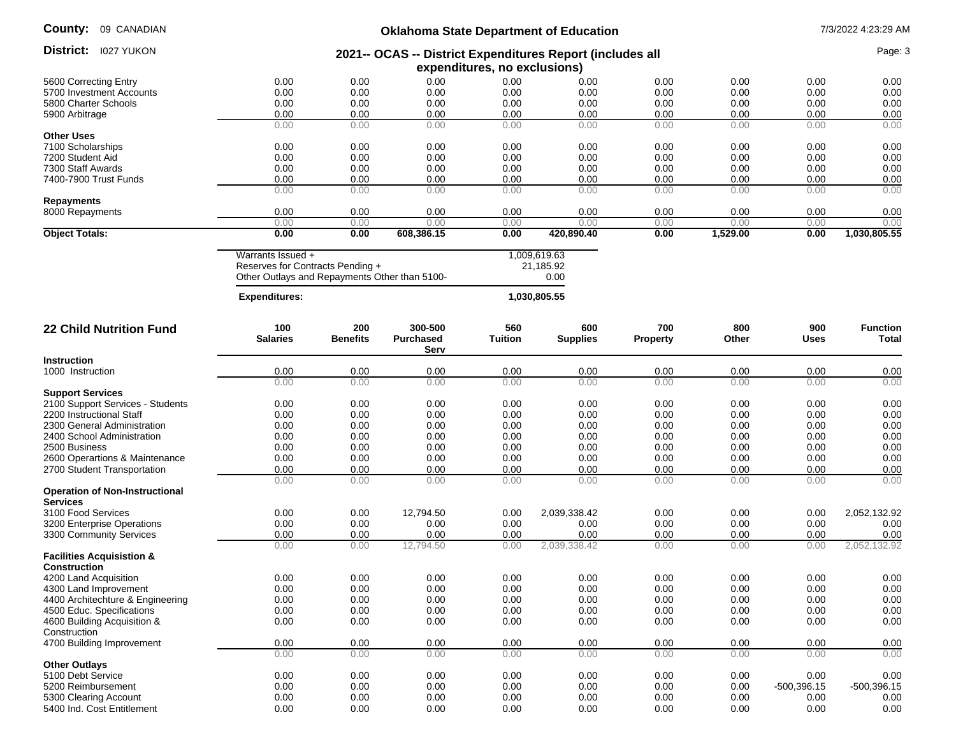| County: |  | 09 CANADIAN |
|---------|--|-------------|
|---------|--|-------------|

# **Oklahoma State Department of Education** 7/3/2022 4:23:29 AM

| 2021-- OCAS -- District Expenditures Report (includes all<br>expenditures, no exclusions)<br>0.00<br>0.00<br>0.00<br>0.00<br>0.00<br>0.00<br>0.00<br>0.00<br>0.00<br>5600 Correcting Entry<br>0.00<br>0.00<br>0.00<br>0.00<br>0.00<br>0.00<br>0.00<br>5700 Investment Accounts<br>0.00<br>0.00<br>0.00<br>0.00<br>0.00<br>0.00<br>0.00<br>0.00<br>5800 Charter Schools<br>0.00<br>0.00<br>0.00<br>0.00<br>0.00<br>0.00<br>0.00<br>0.00<br>0.00<br>0.00<br>0.00<br>0.00<br>5900 Arbitrage<br>0.00<br>0.00<br>0.00<br>0.00<br>0.00<br>0.00<br>0.00<br>0.00<br>0.00<br><b>Other Uses</b><br>0.00<br>0.00<br>0.00<br>0.00<br>0.00<br>0.00<br>0.00<br>0.00<br>7100 Scholarships<br>0.00<br>0.00<br>0.00<br>0.00<br>0.00<br>0.00<br>0.00<br>0.00<br>0.00<br>0.00<br>7200 Student Aid<br>0.00<br>0.00<br>0.00<br>0.00<br>0.00<br>0.00<br>0.00<br>0.00<br>7300 Staff Awards<br>0.00<br>7400-7900 Trust Funds<br>0.00<br>0.00<br>0.00<br>0.00<br>0.00<br>0.00<br>0.00<br>0.00<br>0.00<br>0.00<br>0.00<br>0.00<br>0.00<br>0.00<br>0.00<br>0.00<br>0.00<br>0.00<br><b>Repayments</b><br>8000 Repayments<br>0.00<br>0.00<br>0.00<br>0.00<br>0.00<br>0.00<br>0.00<br>0.00<br>0.00<br>0.00<br>0.00<br>0.00<br>0.00<br>0.00<br>0.00<br>0.00<br>0.00<br>0.00<br>0.00<br>1,529.00<br>1,030,805.55<br><b>Object Totals:</b><br>0.00<br>608,386.15<br>0.00<br>420,890.40<br>0.00<br>0.00<br>Warrants Issued +<br>1,009,619.63<br>Reserves for Contracts Pending +<br>21,185.92<br>Other Outlays and Repayments Other than 5100-<br>0.00<br><b>Expenditures:</b><br>1,030,805.55<br>300-500<br>100<br>200<br>560<br>600<br>700<br>800<br>900<br><b>Function</b><br><b>22 Child Nutrition Fund</b><br><b>Benefits</b><br><b>Salaries</b><br><b>Purchased</b><br>Tuition<br><b>Supplies</b><br>Property<br>Total<br>Other<br><b>Uses</b><br>Serv<br>Instruction<br>0.00<br>0.00<br>0.00<br>0.00<br>0.00<br>0.00<br>0.00<br>0.00<br>0.00<br>1000 Instruction<br>0.00<br>0.00<br>0.00<br>0.00<br>0.00<br>0.00<br>0.00<br>0.00<br>0.00<br><b>Support Services</b><br>0.00<br>0.00<br>0.00<br>0.00<br>0.00<br>0.00<br>0.00<br>0.00<br>2100 Support Services - Students<br>0.00<br>0.00<br>0.00<br>0.00<br>0.00<br>0.00<br>0.00<br>0.00<br>0.00<br>0.00<br>2200 Instructional Staff<br>0.00<br>0.00<br>0.00<br>0.00<br>2300 General Administration<br>0.00<br>0.00<br>0.00<br>0.00<br>0.00<br>0.00<br>0.00<br>0.00<br>0.00<br>2400 School Administration<br>0.00<br>0.00<br>0.00<br>0.00<br>0.00<br>2500 Business<br>0.00<br>0.00<br>0.00<br>0.00<br>0.00<br>0.00<br>0.00<br>0.00<br>0.00<br>0.00<br>0.00<br>2600 Operartions & Maintenance<br>0.00<br>0.00<br>0.00<br>0.00<br>0.00<br>0.00<br>0.00<br>2700 Student Transportation<br>0.00<br>0.00<br>0.00<br>0.00<br>0.00<br>0.00<br>0.00<br>0.00<br>0.00<br>0.00<br>0.00<br>0.00<br>0.00<br>0.00<br>0.00<br>0.00<br>0.00<br>0.00<br><b>Operation of Non-Instructional</b><br><b>Services</b><br>0.00<br>0.00<br>12,794.50<br>2,039,338.42<br>0.00<br>0.00<br>2,052,132.92<br>3100 Food Services<br>0.00<br>0.00<br>0.00<br>0.00<br>0.00<br>0.00<br>0.00<br>3200 Enterprise Operations<br>0.00<br>0.00<br>0.00<br>0.00<br>0.00<br>0.00<br>3300 Community Services<br>0.00<br>0.00<br>0.00<br>0.00<br>0.00<br>0.00<br>0.00<br>0.00<br>0.00<br>12,794.50<br>2,039,338.42<br>0.00<br>0.00<br>2,052,132.92<br>0.00<br>0.00<br><b>Facilities Acquisistion &amp;</b><br><b>Construction</b><br>4200 Land Acquisition<br>0.00<br>0.00<br>0.00<br>0.00<br>0.00<br>0.00<br>0.00<br>0.00<br>0.00<br>0.00<br>0.00<br>0.00<br>0.00<br>0.00<br>0.00<br>0.00<br>0.00<br>0.00<br>4300 Land Improvement<br>0.00<br>0.00<br>0.00<br>0.00<br>0.00<br>0.00<br>0.00<br>0.00<br>0.00<br>4400 Architechture & Engineering<br>0.00<br>0.00<br>0.00<br>0.00<br>0.00<br>0.00<br>0.00<br>0.00<br>4500 Educ. Specifications<br>0.00<br>0.00<br>0.00<br>0.00<br>0.00<br>0.00<br>0.00<br>0.00<br>4600 Building Acquisition &<br>0.00<br>0.00<br>Construction<br>0.00<br>0.00<br>0.00<br>4700 Building Improvement<br>0.00<br>0.00<br>0.00<br>0.00<br>0.00<br>0.00<br>0.00<br>0.00<br>0.00<br>0.00<br>0.00<br>0.00<br>0.00<br>0.00<br>0.00<br><b>Other Outlays</b><br>5100 Debt Service<br>0.00<br>0.00<br>0.00<br>0.00<br>0.00<br>0.00<br>0.00<br>0.00<br>0.00<br>0.00<br>0.00<br>0.00<br>0.00<br>0.00<br>0.00<br>5200 Reimbursement<br>0.00<br>$-500,396.15$<br>$-500,396.15$<br>0.00<br>0.00<br>0.00<br>0.00<br>0.00<br>0.00<br>5300 Clearing Account<br>0.00<br>0.00<br>0.00<br>0.00<br>0.00<br>0.00<br>0.00<br>0.00<br>0.00<br>0.00<br>0.00<br>0.00<br>5400 Ind. Cost Entitlement | District: 1027 YUKON |  |  |  |  | Page: 3 |
|--------------------------------------------------------------------------------------------------------------------------------------------------------------------------------------------------------------------------------------------------------------------------------------------------------------------------------------------------------------------------------------------------------------------------------------------------------------------------------------------------------------------------------------------------------------------------------------------------------------------------------------------------------------------------------------------------------------------------------------------------------------------------------------------------------------------------------------------------------------------------------------------------------------------------------------------------------------------------------------------------------------------------------------------------------------------------------------------------------------------------------------------------------------------------------------------------------------------------------------------------------------------------------------------------------------------------------------------------------------------------------------------------------------------------------------------------------------------------------------------------------------------------------------------------------------------------------------------------------------------------------------------------------------------------------------------------------------------------------------------------------------------------------------------------------------------------------------------------------------------------------------------------------------------------------------------------------------------------------------------------------------------------------------------------------------------------------------------------------------------------------------------------------------------------------------------------------------------------------------------------------------------------------------------------------------------------------------------------------------------------------------------------------------------------------------------------------------------------------------------------------------------------------------------------------------------------------------------------------------------------------------------------------------------------------------------------------------------------------------------------------------------------------------------------------------------------------------------------------------------------------------------------------------------------------------------------------------------------------------------------------------------------------------------------------------------------------------------------------------------------------------------------------------------------------------------------------------------------------------------------------------------------------------------------------------------------------------------------------------------------------------------------------------------------------------------------------------------------------------------------------------------------------------------------------------------------------------------------------------------------------------------------------------------------------------------------------------------------------------------------------------------------------------------------------------------------------------------------------------------------------------------------------------------------------------------------------------------------------------------------------------------------------------------------------------------------------------------------------------------------------------------------------------------------------------------------------------------------------------------------------------------------------------------------------------------------------------------------------------------------------------------------------------------------------------------------------------------------------------------------------------------------------------------------------------------------------|----------------------|--|--|--|--|---------|
|                                                                                                                                                                                                                                                                                                                                                                                                                                                                                                                                                                                                                                                                                                                                                                                                                                                                                                                                                                                                                                                                                                                                                                                                                                                                                                                                                                                                                                                                                                                                                                                                                                                                                                                                                                                                                                                                                                                                                                                                                                                                                                                                                                                                                                                                                                                                                                                                                                                                                                                                                                                                                                                                                                                                                                                                                                                                                                                                                                                                                                                                                                                                                                                                                                                                                                                                                                                                                                                                                                                                                                                                                                                                                                                                                                                                                                                                                                                                                                                                                                                                                                                                                                                                                                                                                                                                                                                                                                                                                                                                                                                |                      |  |  |  |  |         |
|                                                                                                                                                                                                                                                                                                                                                                                                                                                                                                                                                                                                                                                                                                                                                                                                                                                                                                                                                                                                                                                                                                                                                                                                                                                                                                                                                                                                                                                                                                                                                                                                                                                                                                                                                                                                                                                                                                                                                                                                                                                                                                                                                                                                                                                                                                                                                                                                                                                                                                                                                                                                                                                                                                                                                                                                                                                                                                                                                                                                                                                                                                                                                                                                                                                                                                                                                                                                                                                                                                                                                                                                                                                                                                                                                                                                                                                                                                                                                                                                                                                                                                                                                                                                                                                                                                                                                                                                                                                                                                                                                                                |                      |  |  |  |  |         |
|                                                                                                                                                                                                                                                                                                                                                                                                                                                                                                                                                                                                                                                                                                                                                                                                                                                                                                                                                                                                                                                                                                                                                                                                                                                                                                                                                                                                                                                                                                                                                                                                                                                                                                                                                                                                                                                                                                                                                                                                                                                                                                                                                                                                                                                                                                                                                                                                                                                                                                                                                                                                                                                                                                                                                                                                                                                                                                                                                                                                                                                                                                                                                                                                                                                                                                                                                                                                                                                                                                                                                                                                                                                                                                                                                                                                                                                                                                                                                                                                                                                                                                                                                                                                                                                                                                                                                                                                                                                                                                                                                                                |                      |  |  |  |  |         |
|                                                                                                                                                                                                                                                                                                                                                                                                                                                                                                                                                                                                                                                                                                                                                                                                                                                                                                                                                                                                                                                                                                                                                                                                                                                                                                                                                                                                                                                                                                                                                                                                                                                                                                                                                                                                                                                                                                                                                                                                                                                                                                                                                                                                                                                                                                                                                                                                                                                                                                                                                                                                                                                                                                                                                                                                                                                                                                                                                                                                                                                                                                                                                                                                                                                                                                                                                                                                                                                                                                                                                                                                                                                                                                                                                                                                                                                                                                                                                                                                                                                                                                                                                                                                                                                                                                                                                                                                                                                                                                                                                                                |                      |  |  |  |  |         |
|                                                                                                                                                                                                                                                                                                                                                                                                                                                                                                                                                                                                                                                                                                                                                                                                                                                                                                                                                                                                                                                                                                                                                                                                                                                                                                                                                                                                                                                                                                                                                                                                                                                                                                                                                                                                                                                                                                                                                                                                                                                                                                                                                                                                                                                                                                                                                                                                                                                                                                                                                                                                                                                                                                                                                                                                                                                                                                                                                                                                                                                                                                                                                                                                                                                                                                                                                                                                                                                                                                                                                                                                                                                                                                                                                                                                                                                                                                                                                                                                                                                                                                                                                                                                                                                                                                                                                                                                                                                                                                                                                                                |                      |  |  |  |  |         |
|                                                                                                                                                                                                                                                                                                                                                                                                                                                                                                                                                                                                                                                                                                                                                                                                                                                                                                                                                                                                                                                                                                                                                                                                                                                                                                                                                                                                                                                                                                                                                                                                                                                                                                                                                                                                                                                                                                                                                                                                                                                                                                                                                                                                                                                                                                                                                                                                                                                                                                                                                                                                                                                                                                                                                                                                                                                                                                                                                                                                                                                                                                                                                                                                                                                                                                                                                                                                                                                                                                                                                                                                                                                                                                                                                                                                                                                                                                                                                                                                                                                                                                                                                                                                                                                                                                                                                                                                                                                                                                                                                                                |                      |  |  |  |  |         |
|                                                                                                                                                                                                                                                                                                                                                                                                                                                                                                                                                                                                                                                                                                                                                                                                                                                                                                                                                                                                                                                                                                                                                                                                                                                                                                                                                                                                                                                                                                                                                                                                                                                                                                                                                                                                                                                                                                                                                                                                                                                                                                                                                                                                                                                                                                                                                                                                                                                                                                                                                                                                                                                                                                                                                                                                                                                                                                                                                                                                                                                                                                                                                                                                                                                                                                                                                                                                                                                                                                                                                                                                                                                                                                                                                                                                                                                                                                                                                                                                                                                                                                                                                                                                                                                                                                                                                                                                                                                                                                                                                                                |                      |  |  |  |  |         |
|                                                                                                                                                                                                                                                                                                                                                                                                                                                                                                                                                                                                                                                                                                                                                                                                                                                                                                                                                                                                                                                                                                                                                                                                                                                                                                                                                                                                                                                                                                                                                                                                                                                                                                                                                                                                                                                                                                                                                                                                                                                                                                                                                                                                                                                                                                                                                                                                                                                                                                                                                                                                                                                                                                                                                                                                                                                                                                                                                                                                                                                                                                                                                                                                                                                                                                                                                                                                                                                                                                                                                                                                                                                                                                                                                                                                                                                                                                                                                                                                                                                                                                                                                                                                                                                                                                                                                                                                                                                                                                                                                                                |                      |  |  |  |  |         |
|                                                                                                                                                                                                                                                                                                                                                                                                                                                                                                                                                                                                                                                                                                                                                                                                                                                                                                                                                                                                                                                                                                                                                                                                                                                                                                                                                                                                                                                                                                                                                                                                                                                                                                                                                                                                                                                                                                                                                                                                                                                                                                                                                                                                                                                                                                                                                                                                                                                                                                                                                                                                                                                                                                                                                                                                                                                                                                                                                                                                                                                                                                                                                                                                                                                                                                                                                                                                                                                                                                                                                                                                                                                                                                                                                                                                                                                                                                                                                                                                                                                                                                                                                                                                                                                                                                                                                                                                                                                                                                                                                                                |                      |  |  |  |  |         |
|                                                                                                                                                                                                                                                                                                                                                                                                                                                                                                                                                                                                                                                                                                                                                                                                                                                                                                                                                                                                                                                                                                                                                                                                                                                                                                                                                                                                                                                                                                                                                                                                                                                                                                                                                                                                                                                                                                                                                                                                                                                                                                                                                                                                                                                                                                                                                                                                                                                                                                                                                                                                                                                                                                                                                                                                                                                                                                                                                                                                                                                                                                                                                                                                                                                                                                                                                                                                                                                                                                                                                                                                                                                                                                                                                                                                                                                                                                                                                                                                                                                                                                                                                                                                                                                                                                                                                                                                                                                                                                                                                                                |                      |  |  |  |  |         |
|                                                                                                                                                                                                                                                                                                                                                                                                                                                                                                                                                                                                                                                                                                                                                                                                                                                                                                                                                                                                                                                                                                                                                                                                                                                                                                                                                                                                                                                                                                                                                                                                                                                                                                                                                                                                                                                                                                                                                                                                                                                                                                                                                                                                                                                                                                                                                                                                                                                                                                                                                                                                                                                                                                                                                                                                                                                                                                                                                                                                                                                                                                                                                                                                                                                                                                                                                                                                                                                                                                                                                                                                                                                                                                                                                                                                                                                                                                                                                                                                                                                                                                                                                                                                                                                                                                                                                                                                                                                                                                                                                                                |                      |  |  |  |  |         |
|                                                                                                                                                                                                                                                                                                                                                                                                                                                                                                                                                                                                                                                                                                                                                                                                                                                                                                                                                                                                                                                                                                                                                                                                                                                                                                                                                                                                                                                                                                                                                                                                                                                                                                                                                                                                                                                                                                                                                                                                                                                                                                                                                                                                                                                                                                                                                                                                                                                                                                                                                                                                                                                                                                                                                                                                                                                                                                                                                                                                                                                                                                                                                                                                                                                                                                                                                                                                                                                                                                                                                                                                                                                                                                                                                                                                                                                                                                                                                                                                                                                                                                                                                                                                                                                                                                                                                                                                                                                                                                                                                                                |                      |  |  |  |  |         |
|                                                                                                                                                                                                                                                                                                                                                                                                                                                                                                                                                                                                                                                                                                                                                                                                                                                                                                                                                                                                                                                                                                                                                                                                                                                                                                                                                                                                                                                                                                                                                                                                                                                                                                                                                                                                                                                                                                                                                                                                                                                                                                                                                                                                                                                                                                                                                                                                                                                                                                                                                                                                                                                                                                                                                                                                                                                                                                                                                                                                                                                                                                                                                                                                                                                                                                                                                                                                                                                                                                                                                                                                                                                                                                                                                                                                                                                                                                                                                                                                                                                                                                                                                                                                                                                                                                                                                                                                                                                                                                                                                                                |                      |  |  |  |  |         |
|                                                                                                                                                                                                                                                                                                                                                                                                                                                                                                                                                                                                                                                                                                                                                                                                                                                                                                                                                                                                                                                                                                                                                                                                                                                                                                                                                                                                                                                                                                                                                                                                                                                                                                                                                                                                                                                                                                                                                                                                                                                                                                                                                                                                                                                                                                                                                                                                                                                                                                                                                                                                                                                                                                                                                                                                                                                                                                                                                                                                                                                                                                                                                                                                                                                                                                                                                                                                                                                                                                                                                                                                                                                                                                                                                                                                                                                                                                                                                                                                                                                                                                                                                                                                                                                                                                                                                                                                                                                                                                                                                                                |                      |  |  |  |  |         |
|                                                                                                                                                                                                                                                                                                                                                                                                                                                                                                                                                                                                                                                                                                                                                                                                                                                                                                                                                                                                                                                                                                                                                                                                                                                                                                                                                                                                                                                                                                                                                                                                                                                                                                                                                                                                                                                                                                                                                                                                                                                                                                                                                                                                                                                                                                                                                                                                                                                                                                                                                                                                                                                                                                                                                                                                                                                                                                                                                                                                                                                                                                                                                                                                                                                                                                                                                                                                                                                                                                                                                                                                                                                                                                                                                                                                                                                                                                                                                                                                                                                                                                                                                                                                                                                                                                                                                                                                                                                                                                                                                                                |                      |  |  |  |  |         |
|                                                                                                                                                                                                                                                                                                                                                                                                                                                                                                                                                                                                                                                                                                                                                                                                                                                                                                                                                                                                                                                                                                                                                                                                                                                                                                                                                                                                                                                                                                                                                                                                                                                                                                                                                                                                                                                                                                                                                                                                                                                                                                                                                                                                                                                                                                                                                                                                                                                                                                                                                                                                                                                                                                                                                                                                                                                                                                                                                                                                                                                                                                                                                                                                                                                                                                                                                                                                                                                                                                                                                                                                                                                                                                                                                                                                                                                                                                                                                                                                                                                                                                                                                                                                                                                                                                                                                                                                                                                                                                                                                                                |                      |  |  |  |  |         |
|                                                                                                                                                                                                                                                                                                                                                                                                                                                                                                                                                                                                                                                                                                                                                                                                                                                                                                                                                                                                                                                                                                                                                                                                                                                                                                                                                                                                                                                                                                                                                                                                                                                                                                                                                                                                                                                                                                                                                                                                                                                                                                                                                                                                                                                                                                                                                                                                                                                                                                                                                                                                                                                                                                                                                                                                                                                                                                                                                                                                                                                                                                                                                                                                                                                                                                                                                                                                                                                                                                                                                                                                                                                                                                                                                                                                                                                                                                                                                                                                                                                                                                                                                                                                                                                                                                                                                                                                                                                                                                                                                                                |                      |  |  |  |  |         |
|                                                                                                                                                                                                                                                                                                                                                                                                                                                                                                                                                                                                                                                                                                                                                                                                                                                                                                                                                                                                                                                                                                                                                                                                                                                                                                                                                                                                                                                                                                                                                                                                                                                                                                                                                                                                                                                                                                                                                                                                                                                                                                                                                                                                                                                                                                                                                                                                                                                                                                                                                                                                                                                                                                                                                                                                                                                                                                                                                                                                                                                                                                                                                                                                                                                                                                                                                                                                                                                                                                                                                                                                                                                                                                                                                                                                                                                                                                                                                                                                                                                                                                                                                                                                                                                                                                                                                                                                                                                                                                                                                                                |                      |  |  |  |  |         |
|                                                                                                                                                                                                                                                                                                                                                                                                                                                                                                                                                                                                                                                                                                                                                                                                                                                                                                                                                                                                                                                                                                                                                                                                                                                                                                                                                                                                                                                                                                                                                                                                                                                                                                                                                                                                                                                                                                                                                                                                                                                                                                                                                                                                                                                                                                                                                                                                                                                                                                                                                                                                                                                                                                                                                                                                                                                                                                                                                                                                                                                                                                                                                                                                                                                                                                                                                                                                                                                                                                                                                                                                                                                                                                                                                                                                                                                                                                                                                                                                                                                                                                                                                                                                                                                                                                                                                                                                                                                                                                                                                                                |                      |  |  |  |  |         |
|                                                                                                                                                                                                                                                                                                                                                                                                                                                                                                                                                                                                                                                                                                                                                                                                                                                                                                                                                                                                                                                                                                                                                                                                                                                                                                                                                                                                                                                                                                                                                                                                                                                                                                                                                                                                                                                                                                                                                                                                                                                                                                                                                                                                                                                                                                                                                                                                                                                                                                                                                                                                                                                                                                                                                                                                                                                                                                                                                                                                                                                                                                                                                                                                                                                                                                                                                                                                                                                                                                                                                                                                                                                                                                                                                                                                                                                                                                                                                                                                                                                                                                                                                                                                                                                                                                                                                                                                                                                                                                                                                                                |                      |  |  |  |  |         |
|                                                                                                                                                                                                                                                                                                                                                                                                                                                                                                                                                                                                                                                                                                                                                                                                                                                                                                                                                                                                                                                                                                                                                                                                                                                                                                                                                                                                                                                                                                                                                                                                                                                                                                                                                                                                                                                                                                                                                                                                                                                                                                                                                                                                                                                                                                                                                                                                                                                                                                                                                                                                                                                                                                                                                                                                                                                                                                                                                                                                                                                                                                                                                                                                                                                                                                                                                                                                                                                                                                                                                                                                                                                                                                                                                                                                                                                                                                                                                                                                                                                                                                                                                                                                                                                                                                                                                                                                                                                                                                                                                                                |                      |  |  |  |  |         |
|                                                                                                                                                                                                                                                                                                                                                                                                                                                                                                                                                                                                                                                                                                                                                                                                                                                                                                                                                                                                                                                                                                                                                                                                                                                                                                                                                                                                                                                                                                                                                                                                                                                                                                                                                                                                                                                                                                                                                                                                                                                                                                                                                                                                                                                                                                                                                                                                                                                                                                                                                                                                                                                                                                                                                                                                                                                                                                                                                                                                                                                                                                                                                                                                                                                                                                                                                                                                                                                                                                                                                                                                                                                                                                                                                                                                                                                                                                                                                                                                                                                                                                                                                                                                                                                                                                                                                                                                                                                                                                                                                                                |                      |  |  |  |  |         |
|                                                                                                                                                                                                                                                                                                                                                                                                                                                                                                                                                                                                                                                                                                                                                                                                                                                                                                                                                                                                                                                                                                                                                                                                                                                                                                                                                                                                                                                                                                                                                                                                                                                                                                                                                                                                                                                                                                                                                                                                                                                                                                                                                                                                                                                                                                                                                                                                                                                                                                                                                                                                                                                                                                                                                                                                                                                                                                                                                                                                                                                                                                                                                                                                                                                                                                                                                                                                                                                                                                                                                                                                                                                                                                                                                                                                                                                                                                                                                                                                                                                                                                                                                                                                                                                                                                                                                                                                                                                                                                                                                                                |                      |  |  |  |  |         |
|                                                                                                                                                                                                                                                                                                                                                                                                                                                                                                                                                                                                                                                                                                                                                                                                                                                                                                                                                                                                                                                                                                                                                                                                                                                                                                                                                                                                                                                                                                                                                                                                                                                                                                                                                                                                                                                                                                                                                                                                                                                                                                                                                                                                                                                                                                                                                                                                                                                                                                                                                                                                                                                                                                                                                                                                                                                                                                                                                                                                                                                                                                                                                                                                                                                                                                                                                                                                                                                                                                                                                                                                                                                                                                                                                                                                                                                                                                                                                                                                                                                                                                                                                                                                                                                                                                                                                                                                                                                                                                                                                                                |                      |  |  |  |  |         |
|                                                                                                                                                                                                                                                                                                                                                                                                                                                                                                                                                                                                                                                                                                                                                                                                                                                                                                                                                                                                                                                                                                                                                                                                                                                                                                                                                                                                                                                                                                                                                                                                                                                                                                                                                                                                                                                                                                                                                                                                                                                                                                                                                                                                                                                                                                                                                                                                                                                                                                                                                                                                                                                                                                                                                                                                                                                                                                                                                                                                                                                                                                                                                                                                                                                                                                                                                                                                                                                                                                                                                                                                                                                                                                                                                                                                                                                                                                                                                                                                                                                                                                                                                                                                                                                                                                                                                                                                                                                                                                                                                                                |                      |  |  |  |  |         |
|                                                                                                                                                                                                                                                                                                                                                                                                                                                                                                                                                                                                                                                                                                                                                                                                                                                                                                                                                                                                                                                                                                                                                                                                                                                                                                                                                                                                                                                                                                                                                                                                                                                                                                                                                                                                                                                                                                                                                                                                                                                                                                                                                                                                                                                                                                                                                                                                                                                                                                                                                                                                                                                                                                                                                                                                                                                                                                                                                                                                                                                                                                                                                                                                                                                                                                                                                                                                                                                                                                                                                                                                                                                                                                                                                                                                                                                                                                                                                                                                                                                                                                                                                                                                                                                                                                                                                                                                                                                                                                                                                                                |                      |  |  |  |  |         |
|                                                                                                                                                                                                                                                                                                                                                                                                                                                                                                                                                                                                                                                                                                                                                                                                                                                                                                                                                                                                                                                                                                                                                                                                                                                                                                                                                                                                                                                                                                                                                                                                                                                                                                                                                                                                                                                                                                                                                                                                                                                                                                                                                                                                                                                                                                                                                                                                                                                                                                                                                                                                                                                                                                                                                                                                                                                                                                                                                                                                                                                                                                                                                                                                                                                                                                                                                                                                                                                                                                                                                                                                                                                                                                                                                                                                                                                                                                                                                                                                                                                                                                                                                                                                                                                                                                                                                                                                                                                                                                                                                                                |                      |  |  |  |  |         |
|                                                                                                                                                                                                                                                                                                                                                                                                                                                                                                                                                                                                                                                                                                                                                                                                                                                                                                                                                                                                                                                                                                                                                                                                                                                                                                                                                                                                                                                                                                                                                                                                                                                                                                                                                                                                                                                                                                                                                                                                                                                                                                                                                                                                                                                                                                                                                                                                                                                                                                                                                                                                                                                                                                                                                                                                                                                                                                                                                                                                                                                                                                                                                                                                                                                                                                                                                                                                                                                                                                                                                                                                                                                                                                                                                                                                                                                                                                                                                                                                                                                                                                                                                                                                                                                                                                                                                                                                                                                                                                                                                                                |                      |  |  |  |  |         |
|                                                                                                                                                                                                                                                                                                                                                                                                                                                                                                                                                                                                                                                                                                                                                                                                                                                                                                                                                                                                                                                                                                                                                                                                                                                                                                                                                                                                                                                                                                                                                                                                                                                                                                                                                                                                                                                                                                                                                                                                                                                                                                                                                                                                                                                                                                                                                                                                                                                                                                                                                                                                                                                                                                                                                                                                                                                                                                                                                                                                                                                                                                                                                                                                                                                                                                                                                                                                                                                                                                                                                                                                                                                                                                                                                                                                                                                                                                                                                                                                                                                                                                                                                                                                                                                                                                                                                                                                                                                                                                                                                                                |                      |  |  |  |  |         |
|                                                                                                                                                                                                                                                                                                                                                                                                                                                                                                                                                                                                                                                                                                                                                                                                                                                                                                                                                                                                                                                                                                                                                                                                                                                                                                                                                                                                                                                                                                                                                                                                                                                                                                                                                                                                                                                                                                                                                                                                                                                                                                                                                                                                                                                                                                                                                                                                                                                                                                                                                                                                                                                                                                                                                                                                                                                                                                                                                                                                                                                                                                                                                                                                                                                                                                                                                                                                                                                                                                                                                                                                                                                                                                                                                                                                                                                                                                                                                                                                                                                                                                                                                                                                                                                                                                                                                                                                                                                                                                                                                                                |                      |  |  |  |  |         |
|                                                                                                                                                                                                                                                                                                                                                                                                                                                                                                                                                                                                                                                                                                                                                                                                                                                                                                                                                                                                                                                                                                                                                                                                                                                                                                                                                                                                                                                                                                                                                                                                                                                                                                                                                                                                                                                                                                                                                                                                                                                                                                                                                                                                                                                                                                                                                                                                                                                                                                                                                                                                                                                                                                                                                                                                                                                                                                                                                                                                                                                                                                                                                                                                                                                                                                                                                                                                                                                                                                                                                                                                                                                                                                                                                                                                                                                                                                                                                                                                                                                                                                                                                                                                                                                                                                                                                                                                                                                                                                                                                                                |                      |  |  |  |  |         |
|                                                                                                                                                                                                                                                                                                                                                                                                                                                                                                                                                                                                                                                                                                                                                                                                                                                                                                                                                                                                                                                                                                                                                                                                                                                                                                                                                                                                                                                                                                                                                                                                                                                                                                                                                                                                                                                                                                                                                                                                                                                                                                                                                                                                                                                                                                                                                                                                                                                                                                                                                                                                                                                                                                                                                                                                                                                                                                                                                                                                                                                                                                                                                                                                                                                                                                                                                                                                                                                                                                                                                                                                                                                                                                                                                                                                                                                                                                                                                                                                                                                                                                                                                                                                                                                                                                                                                                                                                                                                                                                                                                                |                      |  |  |  |  |         |
|                                                                                                                                                                                                                                                                                                                                                                                                                                                                                                                                                                                                                                                                                                                                                                                                                                                                                                                                                                                                                                                                                                                                                                                                                                                                                                                                                                                                                                                                                                                                                                                                                                                                                                                                                                                                                                                                                                                                                                                                                                                                                                                                                                                                                                                                                                                                                                                                                                                                                                                                                                                                                                                                                                                                                                                                                                                                                                                                                                                                                                                                                                                                                                                                                                                                                                                                                                                                                                                                                                                                                                                                                                                                                                                                                                                                                                                                                                                                                                                                                                                                                                                                                                                                                                                                                                                                                                                                                                                                                                                                                                                |                      |  |  |  |  |         |
|                                                                                                                                                                                                                                                                                                                                                                                                                                                                                                                                                                                                                                                                                                                                                                                                                                                                                                                                                                                                                                                                                                                                                                                                                                                                                                                                                                                                                                                                                                                                                                                                                                                                                                                                                                                                                                                                                                                                                                                                                                                                                                                                                                                                                                                                                                                                                                                                                                                                                                                                                                                                                                                                                                                                                                                                                                                                                                                                                                                                                                                                                                                                                                                                                                                                                                                                                                                                                                                                                                                                                                                                                                                                                                                                                                                                                                                                                                                                                                                                                                                                                                                                                                                                                                                                                                                                                                                                                                                                                                                                                                                |                      |  |  |  |  |         |
|                                                                                                                                                                                                                                                                                                                                                                                                                                                                                                                                                                                                                                                                                                                                                                                                                                                                                                                                                                                                                                                                                                                                                                                                                                                                                                                                                                                                                                                                                                                                                                                                                                                                                                                                                                                                                                                                                                                                                                                                                                                                                                                                                                                                                                                                                                                                                                                                                                                                                                                                                                                                                                                                                                                                                                                                                                                                                                                                                                                                                                                                                                                                                                                                                                                                                                                                                                                                                                                                                                                                                                                                                                                                                                                                                                                                                                                                                                                                                                                                                                                                                                                                                                                                                                                                                                                                                                                                                                                                                                                                                                                |                      |  |  |  |  |         |
|                                                                                                                                                                                                                                                                                                                                                                                                                                                                                                                                                                                                                                                                                                                                                                                                                                                                                                                                                                                                                                                                                                                                                                                                                                                                                                                                                                                                                                                                                                                                                                                                                                                                                                                                                                                                                                                                                                                                                                                                                                                                                                                                                                                                                                                                                                                                                                                                                                                                                                                                                                                                                                                                                                                                                                                                                                                                                                                                                                                                                                                                                                                                                                                                                                                                                                                                                                                                                                                                                                                                                                                                                                                                                                                                                                                                                                                                                                                                                                                                                                                                                                                                                                                                                                                                                                                                                                                                                                                                                                                                                                                |                      |  |  |  |  |         |
|                                                                                                                                                                                                                                                                                                                                                                                                                                                                                                                                                                                                                                                                                                                                                                                                                                                                                                                                                                                                                                                                                                                                                                                                                                                                                                                                                                                                                                                                                                                                                                                                                                                                                                                                                                                                                                                                                                                                                                                                                                                                                                                                                                                                                                                                                                                                                                                                                                                                                                                                                                                                                                                                                                                                                                                                                                                                                                                                                                                                                                                                                                                                                                                                                                                                                                                                                                                                                                                                                                                                                                                                                                                                                                                                                                                                                                                                                                                                                                                                                                                                                                                                                                                                                                                                                                                                                                                                                                                                                                                                                                                |                      |  |  |  |  |         |
|                                                                                                                                                                                                                                                                                                                                                                                                                                                                                                                                                                                                                                                                                                                                                                                                                                                                                                                                                                                                                                                                                                                                                                                                                                                                                                                                                                                                                                                                                                                                                                                                                                                                                                                                                                                                                                                                                                                                                                                                                                                                                                                                                                                                                                                                                                                                                                                                                                                                                                                                                                                                                                                                                                                                                                                                                                                                                                                                                                                                                                                                                                                                                                                                                                                                                                                                                                                                                                                                                                                                                                                                                                                                                                                                                                                                                                                                                                                                                                                                                                                                                                                                                                                                                                                                                                                                                                                                                                                                                                                                                                                |                      |  |  |  |  |         |
|                                                                                                                                                                                                                                                                                                                                                                                                                                                                                                                                                                                                                                                                                                                                                                                                                                                                                                                                                                                                                                                                                                                                                                                                                                                                                                                                                                                                                                                                                                                                                                                                                                                                                                                                                                                                                                                                                                                                                                                                                                                                                                                                                                                                                                                                                                                                                                                                                                                                                                                                                                                                                                                                                                                                                                                                                                                                                                                                                                                                                                                                                                                                                                                                                                                                                                                                                                                                                                                                                                                                                                                                                                                                                                                                                                                                                                                                                                                                                                                                                                                                                                                                                                                                                                                                                                                                                                                                                                                                                                                                                                                |                      |  |  |  |  |         |
|                                                                                                                                                                                                                                                                                                                                                                                                                                                                                                                                                                                                                                                                                                                                                                                                                                                                                                                                                                                                                                                                                                                                                                                                                                                                                                                                                                                                                                                                                                                                                                                                                                                                                                                                                                                                                                                                                                                                                                                                                                                                                                                                                                                                                                                                                                                                                                                                                                                                                                                                                                                                                                                                                                                                                                                                                                                                                                                                                                                                                                                                                                                                                                                                                                                                                                                                                                                                                                                                                                                                                                                                                                                                                                                                                                                                                                                                                                                                                                                                                                                                                                                                                                                                                                                                                                                                                                                                                                                                                                                                                                                |                      |  |  |  |  |         |
|                                                                                                                                                                                                                                                                                                                                                                                                                                                                                                                                                                                                                                                                                                                                                                                                                                                                                                                                                                                                                                                                                                                                                                                                                                                                                                                                                                                                                                                                                                                                                                                                                                                                                                                                                                                                                                                                                                                                                                                                                                                                                                                                                                                                                                                                                                                                                                                                                                                                                                                                                                                                                                                                                                                                                                                                                                                                                                                                                                                                                                                                                                                                                                                                                                                                                                                                                                                                                                                                                                                                                                                                                                                                                                                                                                                                                                                                                                                                                                                                                                                                                                                                                                                                                                                                                                                                                                                                                                                                                                                                                                                |                      |  |  |  |  |         |
|                                                                                                                                                                                                                                                                                                                                                                                                                                                                                                                                                                                                                                                                                                                                                                                                                                                                                                                                                                                                                                                                                                                                                                                                                                                                                                                                                                                                                                                                                                                                                                                                                                                                                                                                                                                                                                                                                                                                                                                                                                                                                                                                                                                                                                                                                                                                                                                                                                                                                                                                                                                                                                                                                                                                                                                                                                                                                                                                                                                                                                                                                                                                                                                                                                                                                                                                                                                                                                                                                                                                                                                                                                                                                                                                                                                                                                                                                                                                                                                                                                                                                                                                                                                                                                                                                                                                                                                                                                                                                                                                                                                |                      |  |  |  |  |         |
|                                                                                                                                                                                                                                                                                                                                                                                                                                                                                                                                                                                                                                                                                                                                                                                                                                                                                                                                                                                                                                                                                                                                                                                                                                                                                                                                                                                                                                                                                                                                                                                                                                                                                                                                                                                                                                                                                                                                                                                                                                                                                                                                                                                                                                                                                                                                                                                                                                                                                                                                                                                                                                                                                                                                                                                                                                                                                                                                                                                                                                                                                                                                                                                                                                                                                                                                                                                                                                                                                                                                                                                                                                                                                                                                                                                                                                                                                                                                                                                                                                                                                                                                                                                                                                                                                                                                                                                                                                                                                                                                                                                |                      |  |  |  |  |         |
|                                                                                                                                                                                                                                                                                                                                                                                                                                                                                                                                                                                                                                                                                                                                                                                                                                                                                                                                                                                                                                                                                                                                                                                                                                                                                                                                                                                                                                                                                                                                                                                                                                                                                                                                                                                                                                                                                                                                                                                                                                                                                                                                                                                                                                                                                                                                                                                                                                                                                                                                                                                                                                                                                                                                                                                                                                                                                                                                                                                                                                                                                                                                                                                                                                                                                                                                                                                                                                                                                                                                                                                                                                                                                                                                                                                                                                                                                                                                                                                                                                                                                                                                                                                                                                                                                                                                                                                                                                                                                                                                                                                |                      |  |  |  |  |         |
|                                                                                                                                                                                                                                                                                                                                                                                                                                                                                                                                                                                                                                                                                                                                                                                                                                                                                                                                                                                                                                                                                                                                                                                                                                                                                                                                                                                                                                                                                                                                                                                                                                                                                                                                                                                                                                                                                                                                                                                                                                                                                                                                                                                                                                                                                                                                                                                                                                                                                                                                                                                                                                                                                                                                                                                                                                                                                                                                                                                                                                                                                                                                                                                                                                                                                                                                                                                                                                                                                                                                                                                                                                                                                                                                                                                                                                                                                                                                                                                                                                                                                                                                                                                                                                                                                                                                                                                                                                                                                                                                                                                |                      |  |  |  |  |         |
|                                                                                                                                                                                                                                                                                                                                                                                                                                                                                                                                                                                                                                                                                                                                                                                                                                                                                                                                                                                                                                                                                                                                                                                                                                                                                                                                                                                                                                                                                                                                                                                                                                                                                                                                                                                                                                                                                                                                                                                                                                                                                                                                                                                                                                                                                                                                                                                                                                                                                                                                                                                                                                                                                                                                                                                                                                                                                                                                                                                                                                                                                                                                                                                                                                                                                                                                                                                                                                                                                                                                                                                                                                                                                                                                                                                                                                                                                                                                                                                                                                                                                                                                                                                                                                                                                                                                                                                                                                                                                                                                                                                |                      |  |  |  |  |         |
|                                                                                                                                                                                                                                                                                                                                                                                                                                                                                                                                                                                                                                                                                                                                                                                                                                                                                                                                                                                                                                                                                                                                                                                                                                                                                                                                                                                                                                                                                                                                                                                                                                                                                                                                                                                                                                                                                                                                                                                                                                                                                                                                                                                                                                                                                                                                                                                                                                                                                                                                                                                                                                                                                                                                                                                                                                                                                                                                                                                                                                                                                                                                                                                                                                                                                                                                                                                                                                                                                                                                                                                                                                                                                                                                                                                                                                                                                                                                                                                                                                                                                                                                                                                                                                                                                                                                                                                                                                                                                                                                                                                |                      |  |  |  |  |         |
|                                                                                                                                                                                                                                                                                                                                                                                                                                                                                                                                                                                                                                                                                                                                                                                                                                                                                                                                                                                                                                                                                                                                                                                                                                                                                                                                                                                                                                                                                                                                                                                                                                                                                                                                                                                                                                                                                                                                                                                                                                                                                                                                                                                                                                                                                                                                                                                                                                                                                                                                                                                                                                                                                                                                                                                                                                                                                                                                                                                                                                                                                                                                                                                                                                                                                                                                                                                                                                                                                                                                                                                                                                                                                                                                                                                                                                                                                                                                                                                                                                                                                                                                                                                                                                                                                                                                                                                                                                                                                                                                                                                |                      |  |  |  |  |         |
|                                                                                                                                                                                                                                                                                                                                                                                                                                                                                                                                                                                                                                                                                                                                                                                                                                                                                                                                                                                                                                                                                                                                                                                                                                                                                                                                                                                                                                                                                                                                                                                                                                                                                                                                                                                                                                                                                                                                                                                                                                                                                                                                                                                                                                                                                                                                                                                                                                                                                                                                                                                                                                                                                                                                                                                                                                                                                                                                                                                                                                                                                                                                                                                                                                                                                                                                                                                                                                                                                                                                                                                                                                                                                                                                                                                                                                                                                                                                                                                                                                                                                                                                                                                                                                                                                                                                                                                                                                                                                                                                                                                |                      |  |  |  |  |         |
|                                                                                                                                                                                                                                                                                                                                                                                                                                                                                                                                                                                                                                                                                                                                                                                                                                                                                                                                                                                                                                                                                                                                                                                                                                                                                                                                                                                                                                                                                                                                                                                                                                                                                                                                                                                                                                                                                                                                                                                                                                                                                                                                                                                                                                                                                                                                                                                                                                                                                                                                                                                                                                                                                                                                                                                                                                                                                                                                                                                                                                                                                                                                                                                                                                                                                                                                                                                                                                                                                                                                                                                                                                                                                                                                                                                                                                                                                                                                                                                                                                                                                                                                                                                                                                                                                                                                                                                                                                                                                                                                                                                |                      |  |  |  |  |         |
|                                                                                                                                                                                                                                                                                                                                                                                                                                                                                                                                                                                                                                                                                                                                                                                                                                                                                                                                                                                                                                                                                                                                                                                                                                                                                                                                                                                                                                                                                                                                                                                                                                                                                                                                                                                                                                                                                                                                                                                                                                                                                                                                                                                                                                                                                                                                                                                                                                                                                                                                                                                                                                                                                                                                                                                                                                                                                                                                                                                                                                                                                                                                                                                                                                                                                                                                                                                                                                                                                                                                                                                                                                                                                                                                                                                                                                                                                                                                                                                                                                                                                                                                                                                                                                                                                                                                                                                                                                                                                                                                                                                |                      |  |  |  |  |         |
|                                                                                                                                                                                                                                                                                                                                                                                                                                                                                                                                                                                                                                                                                                                                                                                                                                                                                                                                                                                                                                                                                                                                                                                                                                                                                                                                                                                                                                                                                                                                                                                                                                                                                                                                                                                                                                                                                                                                                                                                                                                                                                                                                                                                                                                                                                                                                                                                                                                                                                                                                                                                                                                                                                                                                                                                                                                                                                                                                                                                                                                                                                                                                                                                                                                                                                                                                                                                                                                                                                                                                                                                                                                                                                                                                                                                                                                                                                                                                                                                                                                                                                                                                                                                                                                                                                                                                                                                                                                                                                                                                                                |                      |  |  |  |  |         |
|                                                                                                                                                                                                                                                                                                                                                                                                                                                                                                                                                                                                                                                                                                                                                                                                                                                                                                                                                                                                                                                                                                                                                                                                                                                                                                                                                                                                                                                                                                                                                                                                                                                                                                                                                                                                                                                                                                                                                                                                                                                                                                                                                                                                                                                                                                                                                                                                                                                                                                                                                                                                                                                                                                                                                                                                                                                                                                                                                                                                                                                                                                                                                                                                                                                                                                                                                                                                                                                                                                                                                                                                                                                                                                                                                                                                                                                                                                                                                                                                                                                                                                                                                                                                                                                                                                                                                                                                                                                                                                                                                                                |                      |  |  |  |  |         |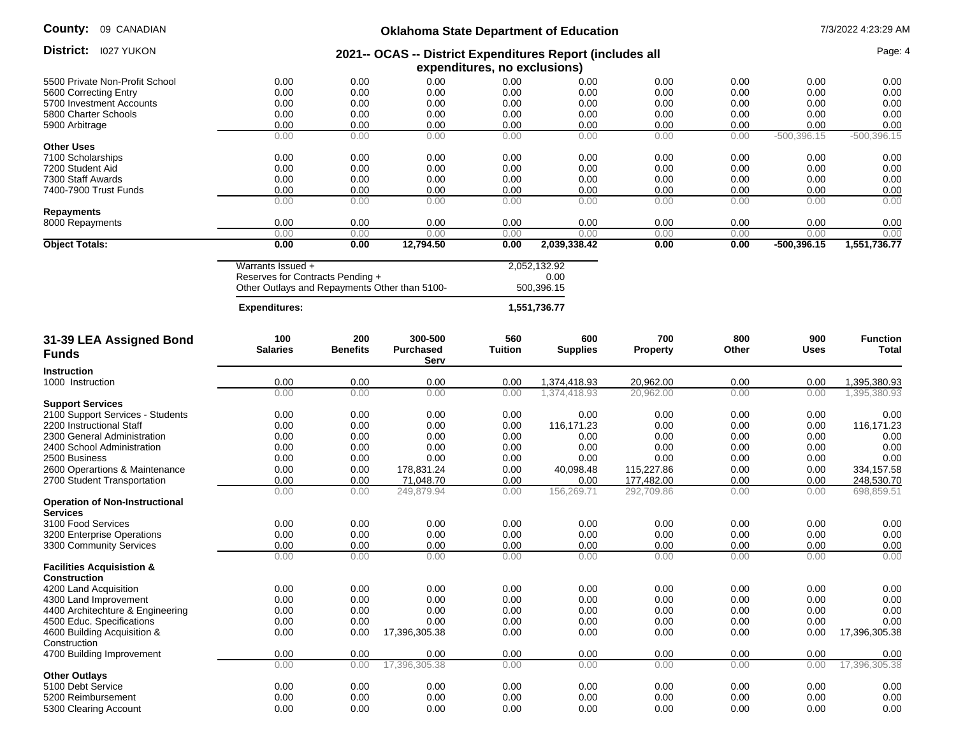| County: | 09 CANADIAN |
|---------|-------------|
|---------|-------------|

## **Oklahoma State Department of Education** 7/3/2022 4:23:29 AM

|                                                          |                                               |                 | UnidiTuria Juale Department of Education                  |                              |                 |                 |       |               |                 |
|----------------------------------------------------------|-----------------------------------------------|-----------------|-----------------------------------------------------------|------------------------------|-----------------|-----------------|-------|---------------|-----------------|
| District:<br><b>I027 YUKON</b>                           |                                               |                 | 2021-- OCAS -- District Expenditures Report (includes all |                              |                 |                 |       |               | Page: 4         |
|                                                          |                                               |                 |                                                           | expenditures, no exclusions) |                 |                 |       |               |                 |
| 5500 Private Non-Profit School                           | 0.00                                          | 0.00            | 0.00                                                      | 0.00                         | 0.00            | 0.00            | 0.00  | 0.00          | 0.00            |
| 5600 Correcting Entry                                    | 0.00                                          | 0.00            | 0.00                                                      | 0.00                         | 0.00            | 0.00            | 0.00  | 0.00          | 0.00            |
| 5700 Investment Accounts                                 | 0.00                                          | 0.00            | 0.00                                                      | 0.00                         | 0.00            | 0.00            | 0.00  | 0.00          | 0.00            |
| 5800 Charter Schools                                     | 0.00                                          | 0.00            | 0.00                                                      | 0.00                         | 0.00            | 0.00            | 0.00  | 0.00          | 0.00            |
| 5900 Arbitrage                                           | 0.00                                          | 0.00            | 0.00                                                      | 0.00                         | 0.00            | 0.00            | 0.00  | 0.00          | 0.00            |
|                                                          | 0.00                                          | 0.00            | 0.00                                                      | 0.00                         | 0.00            | 0.00            | 0.00  | $-500,396.15$ | $-500,396.15$   |
| <b>Other Uses</b>                                        |                                               |                 |                                                           |                              |                 |                 |       |               |                 |
| 7100 Scholarships                                        | 0.00                                          | 0.00            | 0.00                                                      | 0.00                         | 0.00            | 0.00            | 0.00  | 0.00          | 0.00            |
| 7200 Student Aid                                         | 0.00                                          | 0.00            | 0.00                                                      | 0.00                         | 0.00            | 0.00            | 0.00  | 0.00          | 0.00            |
| 7300 Staff Awards                                        | 0.00                                          | 0.00            | 0.00                                                      | 0.00                         | 0.00            | 0.00            | 0.00  | 0.00          | 0.00            |
| 7400-7900 Trust Funds                                    | 0.00                                          | 0.00            | 0.00                                                      | 0.00                         | 0.00            | 0.00            | 0.00  | 0.00          | 0.00            |
|                                                          | 0.00                                          | 0.00            | 0.00                                                      | 0.00                         | 0.00            | 0.00            | 0.00  | 0.00          | 0.00            |
| <b>Repayments</b>                                        |                                               |                 |                                                           |                              |                 |                 |       |               |                 |
| 8000 Repayments                                          | 0.00                                          | 0.00            | 0.00                                                      | 0.00                         | 0.00            | 0.00            | 0.00  | 0.00          | 0.00            |
|                                                          | 0.00                                          | 0.00            | 0.00                                                      | 0.00                         | 0.00            | 0.00            | 0.00  | 0.00          | 0.00            |
| <b>Object Totals:</b>                                    | 0.00                                          | 0.00            | 12,794.50                                                 | 0.00                         | 2,039,338.42    | 0.00            | 0.00  | $-500,396.15$ | 1,551,736.77    |
|                                                          | Warrants Issued +                             |                 |                                                           |                              | 2,052,132.92    |                 |       |               |                 |
|                                                          | Reserves for Contracts Pending +              |                 |                                                           |                              | 0.00            |                 |       |               |                 |
|                                                          | Other Outlays and Repayments Other than 5100- |                 |                                                           |                              | 500,396.15      |                 |       |               |                 |
|                                                          |                                               |                 |                                                           |                              |                 |                 |       |               |                 |
|                                                          | <b>Expenditures:</b>                          |                 |                                                           |                              | 1,551,736.77    |                 |       |               |                 |
| 31-39 LEA Assigned Bond                                  | 100                                           | 200             | 300-500                                                   | 560                          | 600             | 700             | 800   | 900           | <b>Function</b> |
| <b>Funds</b>                                             | <b>Salaries</b>                               | <b>Benefits</b> | <b>Purchased</b>                                          | <b>Tuition</b>               | <b>Supplies</b> | <b>Property</b> | Other | <b>Uses</b>   | Total           |
|                                                          |                                               |                 | Serv                                                      |                              |                 |                 |       |               |                 |
| <b>Instruction</b>                                       |                                               |                 |                                                           |                              |                 |                 |       |               |                 |
| 1000 Instruction                                         | 0.00                                          | 0.00            | 0.00                                                      | 0.00                         | 1,374,418.93    | 20,962.00       | 0.00  | 0.00          | 1,395,380.93    |
|                                                          | 0.00                                          | 0.00            | 0.00                                                      | 0.00                         | 1,374,418.93    | 20,962.00       | 0.00  | 0.00          | 1,395,380.93    |
| <b>Support Services</b>                                  |                                               |                 |                                                           |                              |                 |                 |       |               |                 |
| 2100 Support Services - Students                         | 0.00                                          | 0.00            | 0.00                                                      | 0.00                         | 0.00            | 0.00            | 0.00  | 0.00          | 0.00            |
| 2200 Instructional Staff                                 | 0.00                                          | 0.00            | 0.00                                                      | 0.00                         | 116,171.23      | 0.00            | 0.00  | 0.00          | 116,171.23      |
| 2300 General Administration                              | 0.00                                          | 0.00            | 0.00                                                      | 0.00                         | 0.00            | 0.00            | 0.00  | 0.00          | 0.00            |
| 2400 School Administration                               | 0.00                                          | 0.00            | 0.00                                                      | 0.00                         | 0.00            | 0.00            | 0.00  | 0.00          | 0.00            |
| 2500 Business                                            | 0.00                                          | 0.00            | 0.00                                                      | 0.00                         | 0.00            | 0.00            | 0.00  | 0.00          | 0.00            |
| 2600 Operartions & Maintenance                           | 0.00                                          | 0.00            | 178,831.24                                                | 0.00                         | 40,098.48       | 115,227.86      | 0.00  | 0.00          | 334, 157.58     |
| 2700 Student Transportation                              | 0.00                                          | 0.00            | 71,048.70                                                 | 0.00                         | 0.00            | 177,482.00      | 0.00  | 0.00          | 248,530.70      |
|                                                          | 0.00                                          | 0.00            | 249,879.94                                                | 0.00                         | 156,269.71      | 292,709.86      | 0.00  | 0.00          | 698,859.51      |
| <b>Operation of Non-Instructional</b><br><b>Services</b> |                                               |                 |                                                           |                              |                 |                 |       |               |                 |
| 3100 Food Services                                       | 0.00                                          | 0.00            | 0.00                                                      | 0.00                         | 0.00            | 0.00            | 0.00  | 0.00          | 0.00            |
| 3200 Enterprise Operations                               | 0.00                                          | 0.00            | 0.00                                                      | 0.00                         | 0.00            | 0.00            | 0.00  | 0.00          | 0.00            |
| 3300 Community Services                                  | 0.00                                          | 0.00            | 0.00                                                      | 0.00                         | 0.00            | 0.00            | 0.00  | 0.00          | 0.00            |
|                                                          | 0.00                                          | 0.00            | 0.00                                                      | 0.00                         | 0.00            | 0.00            | 0.00  | 0.00          | 0.00            |
| <b>Facilities Acquisistion &amp;</b>                     |                                               |                 |                                                           |                              |                 |                 |       |               |                 |
| <b>Construction</b>                                      |                                               |                 |                                                           |                              |                 |                 |       |               |                 |
| 4200 Land Acquisition                                    | 0.00                                          | 0.00            | 0.00                                                      | 0.00                         | 0.00            | 0.00            | 0.00  | 0.00          | 0.00            |
| 4300 Land Improvement                                    | 0.00                                          | 0.00            | 0.00                                                      | 0.00                         | 0.00            | 0.00            | 0.00  | 0.00          | 0.00            |
| 4400 Architechture & Engineering                         | 0.00                                          | 0.00            | 0.00                                                      | 0.00                         | 0.00            | 0.00            | 0.00  | 0.00          | 0.00            |
| 4500 Educ. Specifications                                | 0.00                                          | 0.00            | 0.00                                                      | 0.00                         | 0.00            | 0.00            | 0.00  | 0.00          | 0.00            |
| 4600 Building Acquisition &                              | 0.00                                          | 0.00            | 17,396,305.38                                             | 0.00                         | 0.00            | 0.00            | 0.00  | 0.00          | 17,396,305.38   |
| Construction                                             |                                               |                 |                                                           |                              |                 |                 |       |               |                 |
| 4700 Building Improvement                                | 0.00                                          | 0.00            | 0.00                                                      | 0.00                         | 0.00            | 0.00            | 0.00  | 0.00          | 0.00            |
|                                                          | 0.00                                          | 0.00            | 17,396,305.38                                             | 0.00                         | 0.00            | 0.00            | 0.00  | 0.00          | 17,396,305.38   |
| <b>Other Outlays</b>                                     |                                               |                 |                                                           |                              |                 |                 |       |               |                 |
| 5100 Debt Service                                        | 0.00                                          | 0.00            | 0.00                                                      | 0.00                         | 0.00            | 0.00            | 0.00  | 0.00          | 0.00            |
| 5200 Reimbursement                                       | 0.00                                          | 0.00            | 0.00                                                      | 0.00                         | 0.00            | 0.00            | 0.00  | 0.00          | 0.00            |
| 5300 Clearing Account                                    | 0.00                                          | 0.00            | 0.00                                                      | 0.00                         | 0.00            | 0.00            | 0.00  | 0.00          | 0.00            |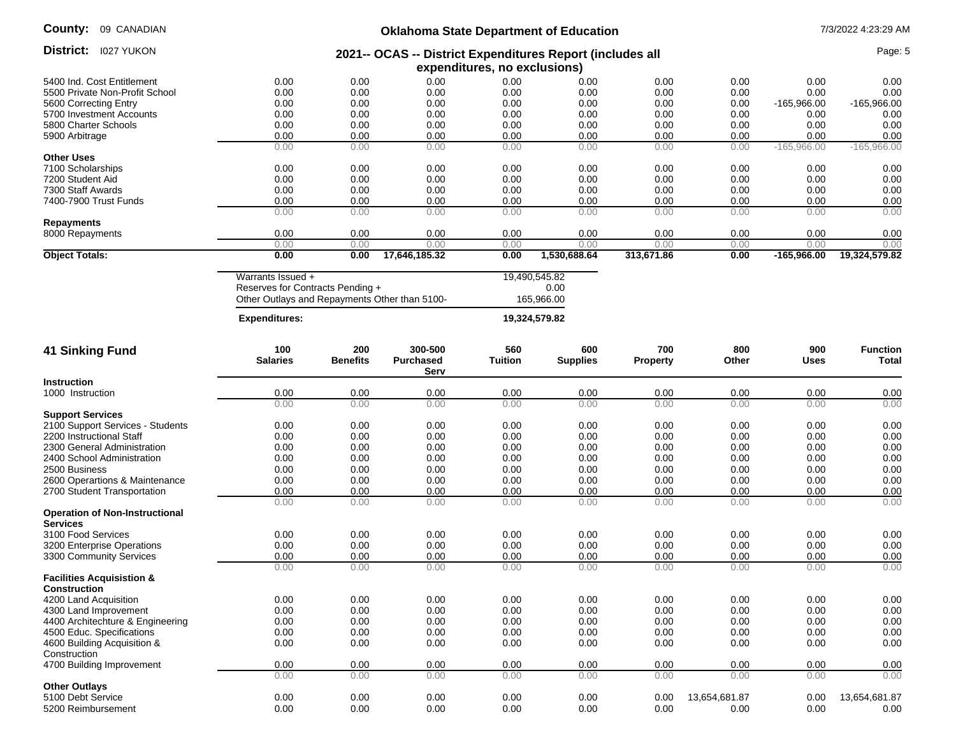| County: | 09 CANADIAN |
|---------|-------------|
|---------|-------------|

# **Oklahoma State Department of Education** 7/3/2022 4:23:29 AM

| District:<br><b>I027 YUKON</b>        |                                               |                 | 2021-- OCAS -- District Expenditures Report (includes all |                              |                 |                 |               |               | Page: 5         |
|---------------------------------------|-----------------------------------------------|-----------------|-----------------------------------------------------------|------------------------------|-----------------|-----------------|---------------|---------------|-----------------|
|                                       |                                               |                 |                                                           | expenditures, no exclusions) |                 |                 |               |               |                 |
| 5400 Ind. Cost Entitlement            | 0.00                                          | 0.00            | 0.00                                                      | 0.00                         | 0.00            | 0.00            | 0.00          | 0.00          | 0.00            |
| 5500 Private Non-Profit School        | 0.00                                          | 0.00            | 0.00                                                      | 0.00                         | 0.00            | 0.00            | 0.00          | 0.00          | 0.00            |
| 5600 Correcting Entry                 | 0.00                                          | 0.00            | 0.00                                                      | 0.00                         | 0.00            | 0.00            | 0.00          | -165.966.00   | -165,966.00     |
| 5700 Investment Accounts              | 0.00                                          | 0.00            | 0.00                                                      | 0.00                         | 0.00            | 0.00            | 0.00          | 0.00          | 0.00            |
| 5800 Charter Schools                  | 0.00                                          | 0.00            | 0.00                                                      | 0.00                         | 0.00            | 0.00            | 0.00          | 0.00          | 0.00            |
| 5900 Arbitrage                        | 0.00                                          | 0.00            | 0.00                                                      | 0.00                         | 0.00            | 0.00            | 0.00          | 0.00          | 0.00            |
|                                       | 0.00                                          | 0.00            | 0.00                                                      | 0.00                         | 0.00            | 0.00            | 0.00          | $-165,966.00$ | $-165,966.00$   |
| <b>Other Uses</b>                     |                                               |                 |                                                           |                              |                 |                 |               |               |                 |
| 7100 Scholarships                     | 0.00<br>0.00                                  | 0.00<br>0.00    | 0.00<br>0.00                                              | 0.00                         | 0.00<br>0.00    | 0.00<br>0.00    | 0.00          | 0.00          | 0.00            |
| 7200 Student Aid<br>7300 Staff Awards | 0.00                                          | 0.00            | 0.00                                                      | 0.00<br>0.00                 | 0.00            | 0.00            | 0.00<br>0.00  | 0.00<br>0.00  | 0.00<br>0.00    |
| 7400-7900 Trust Funds                 | 0.00                                          | 0.00            | 0.00                                                      | 0.00                         | 0.00            | 0.00            | 0.00          | 0.00          | 0.00            |
|                                       | 0.00                                          | 0.00            | 0.00                                                      | 0.00                         | 0.00            | 0.00            | 0.00          | 0.00          | 0.00            |
| <b>Repayments</b>                     |                                               |                 |                                                           |                              |                 |                 |               |               |                 |
| 8000 Repayments                       | 0.00                                          | 0.00            | 0.00                                                      | 0.00                         | 0.00            | 0.00            | 0.00          | 0.00          | 0.00            |
|                                       | 0.00                                          | 0.00            | 0.00                                                      | 0.00                         | 0.00            | 0.00            | 0.00          | 0.00          | 0.00            |
| <b>Object Totals:</b>                 | 0.00                                          | 0.00            | 17,646,185.32                                             | 0.00                         | 1,530,688.64    | 313,671.86      | 0.00          | $-165,966.00$ | 19,324,579.82   |
|                                       | Warrants Issued +                             |                 |                                                           |                              | 19,490,545.82   |                 |               |               |                 |
|                                       | Reserves for Contracts Pending +              |                 |                                                           |                              | 0.00            |                 |               |               |                 |
|                                       | Other Outlays and Repayments Other than 5100- |                 |                                                           |                              | 165,966.00      |                 |               |               |                 |
|                                       |                                               |                 |                                                           |                              |                 |                 |               |               |                 |
|                                       | <b>Expenditures:</b>                          |                 |                                                           |                              | 19,324,579.82   |                 |               |               |                 |
| <b>41 Sinking Fund</b>                | 100                                           | 200             | 300-500                                                   | 560                          | 600             | 700             | 800           | 900           | <b>Function</b> |
|                                       | <b>Salaries</b>                               | <b>Benefits</b> | <b>Purchased</b>                                          | <b>Tuition</b>               | <b>Supplies</b> | <b>Property</b> | Other         | Uses          | Total           |
|                                       |                                               |                 | Serv                                                      |                              |                 |                 |               |               |                 |
| <b>Instruction</b>                    |                                               |                 |                                                           |                              |                 |                 |               |               |                 |
| 1000 Instruction                      | 0.00                                          | 0.00            | 0.00                                                      | 0.00                         | 0.00            | 0.00            | 0.00          | 0.00          | 0.00            |
|                                       | 0.00                                          | 0.00            | 0.00                                                      | 0.00                         | 0.00            | 0.00            | 0.00          | 0.00          | 0.00            |
| <b>Support Services</b>               |                                               |                 |                                                           |                              |                 |                 |               |               |                 |
| 2100 Support Services - Students      | 0.00                                          | 0.00            | 0.00                                                      | 0.00                         | 0.00            | 0.00            | 0.00          | 0.00          | 0.00            |
| 2200 Instructional Staff              | 0.00                                          | 0.00            | 0.00                                                      | 0.00                         | 0.00            | 0.00            | 0.00          | 0.00          | 0.00            |
| 2300 General Administration           | 0.00                                          | 0.00            | 0.00                                                      | 0.00                         | 0.00            | 0.00            | 0.00          | 0.00          | 0.00            |
| 2400 School Administration            | 0.00                                          | 0.00            | 0.00                                                      | 0.00                         | 0.00            | 0.00            | 0.00          | 0.00          | 0.00            |
| 2500 Business                         | 0.00                                          | 0.00            | 0.00                                                      | 0.00                         | 0.00            | 0.00            | 0.00          | 0.00          | 0.00            |
| 2600 Operartions & Maintenance        | 0.00                                          | 0.00            | 0.00                                                      | 0.00                         | 0.00            | 0.00            | 0.00          | 0.00          | 0.00            |
| 2700 Student Transportation           | 0.00<br>0.00                                  | 0.00<br>0.00    | 0.00<br>0.00                                              | 0.00<br>0.00                 | 0.00<br>0.00    | 0.00<br>0.00    | 0.00<br>0.00  | 0.00<br>0.00  | 0.00<br>0.00    |
| <b>Operation of Non-Instructional</b> |                                               |                 |                                                           |                              |                 |                 |               |               |                 |
| <b>Services</b>                       |                                               |                 |                                                           |                              |                 |                 |               |               |                 |
| 3100 Food Services                    | 0.00                                          | 0.00            | 0.00                                                      | 0.00                         | 0.00            | 0.00            | 0.00          | 0.00          | 0.00            |
| 3200 Enterprise Operations            | 0.00                                          | 0.00            | 0.00                                                      | 0.00                         | 0.00            | 0.00            | 0.00          | 0.00          | 0.00            |
| 3300 Community Services               | 0.00                                          | 0.00            | 0.00                                                      | 0.00                         | 0.00            | 0.00            | 0.00          | 0.00          | 0.00            |
|                                       | 0.00                                          | 0.00            | 0.00                                                      | 0.00                         | 0.00            | 0.00            | 0.00          | 0.00          | 0.00            |
| <b>Facilities Acquisistion &amp;</b>  |                                               |                 |                                                           |                              |                 |                 |               |               |                 |
| <b>Construction</b>                   |                                               |                 |                                                           |                              |                 |                 |               |               |                 |
| 4200 Land Acquisition                 | 0.00                                          | 0.00            | 0.00                                                      | 0.00                         | 0.00            | 0.00            | 0.00          | 0.00          | 0.00            |
| 4300 Land Improvement                 | 0.00                                          | 0.00            | 0.00                                                      | 0.00                         | 0.00            | 0.00            | 0.00          | 0.00          | 0.00            |
| 4400 Architechture & Engineering      | 0.00                                          | 0.00            | 0.00                                                      | 0.00                         | 0.00            | 0.00            | 0.00          | 0.00          | 0.00            |
| 4500 Educ. Specifications             | 0.00                                          | 0.00            | 0.00                                                      | 0.00                         | 0.00            | 0.00            | 0.00          | 0.00          | 0.00            |
| 4600 Building Acquisition &           | 0.00                                          | 0.00            | 0.00                                                      | 0.00                         | 0.00            | 0.00            | 0.00          | 0.00          | 0.00            |
| Construction                          |                                               |                 |                                                           |                              |                 |                 |               |               |                 |
| 4700 Building Improvement             | 0.00                                          | 0.00            | 0.00                                                      | 0.00                         | 0.00            | 0.00            | 0.00          | 0.00          | 0.00            |
|                                       | 0.00                                          | 0.00            | 0.00                                                      | 0.00                         | 0.00            | 0.00            | 0.00          | 0.00          | 0.00            |
| <b>Other Outlays</b>                  |                                               |                 |                                                           |                              |                 |                 |               |               |                 |
| 5100 Debt Service                     | 0.00<br>0.00                                  | 0.00            | 0.00                                                      | 0.00                         | 0.00            | 0.00            | 13,654,681.87 | 0.00          | 13,654,681.87   |
| 5200 Reimbursement                    |                                               | 0.00            | 0.00                                                      | 0.00                         | 0.00            | 0.00            | 0.00          | 0.00          | 0.00            |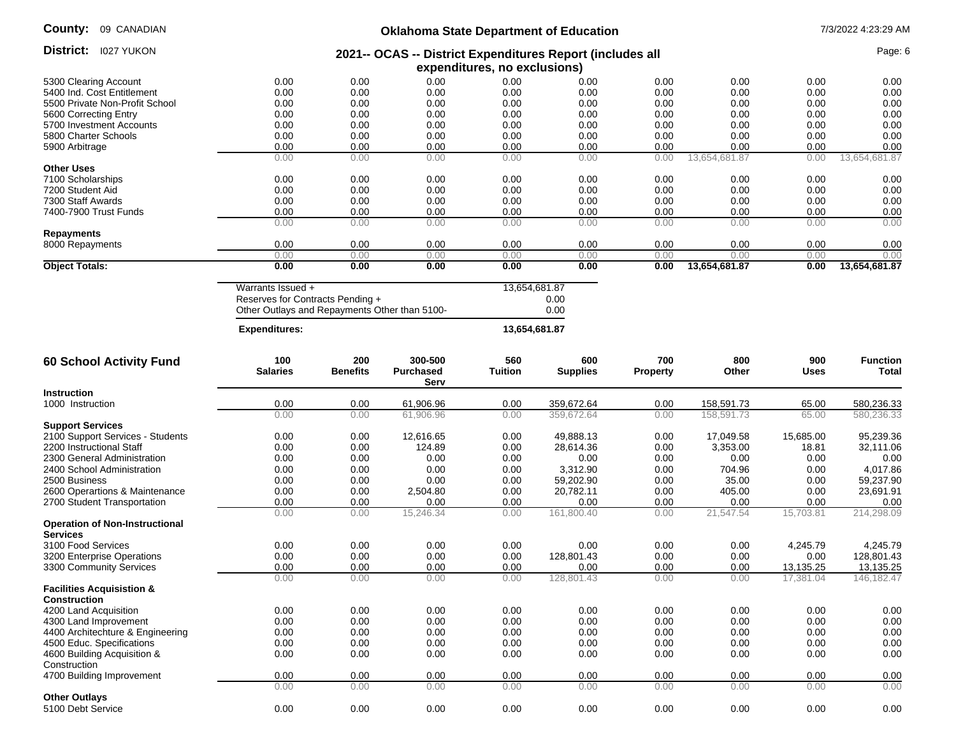| County:<br>09 CANADIAN                                      |                                                       |                        | <b>Oklahoma State Department of Education</b>             |                              |                        |                        |                       |              | 7/3/2022 4:23:29 AM      |
|-------------------------------------------------------------|-------------------------------------------------------|------------------------|-----------------------------------------------------------|------------------------------|------------------------|------------------------|-----------------------|--------------|--------------------------|
| <b>District:</b> 1027 YUKON                                 |                                                       |                        | 2021-- OCAS -- District Expenditures Report (includes all | expenditures, no exclusions) |                        |                        |                       |              | Page: 6                  |
| 5300 Clearing Account                                       | 0.00                                                  | 0.00                   | 0.00                                                      | 0.00                         | 0.00                   | 0.00                   | 0.00                  | 0.00         | 0.00                     |
| 5400 Ind. Cost Entitlement                                  | 0.00                                                  | 0.00                   | 0.00                                                      | 0.00                         | 0.00                   | 0.00                   | 0.00                  | 0.00         | 0.00                     |
| 5500 Private Non-Profit School                              | 0.00                                                  | 0.00                   | 0.00                                                      | 0.00                         | 0.00                   | 0.00                   | 0.00                  | 0.00         | 0.00                     |
| 5600 Correcting Entry                                       | 0.00                                                  | 0.00                   | 0.00                                                      | 0.00                         | 0.00                   | 0.00                   | 0.00                  | 0.00         | 0.00                     |
|                                                             | 0.00                                                  | 0.00                   | 0.00                                                      | 0.00                         | 0.00                   | 0.00                   | 0.00                  | 0.00         | 0.00                     |
| 5700 Investment Accounts<br>5800 Charter Schools            | 0.00                                                  | 0.00                   | 0.00                                                      | 0.00                         | 0.00                   | 0.00                   | 0.00                  | 0.00         | 0.00                     |
|                                                             |                                                       |                        |                                                           |                              |                        |                        |                       |              |                          |
| 5900 Arbitrage                                              | 0.00                                                  | 0.00                   | 0.00                                                      | 0.00                         | 0.00                   | 0.00                   | 0.00                  | 0.00         | 0.00                     |
|                                                             | 0.00                                                  | 0.00                   | 0.00                                                      | 0.00                         | 0.00                   | 0.00                   | 13,654,681.87         | 0.00         | 13,654,681.87            |
| <b>Other Uses</b>                                           |                                                       |                        |                                                           |                              |                        |                        |                       |              |                          |
| 7100 Scholarships                                           | 0.00                                                  | 0.00                   | 0.00                                                      | 0.00                         | 0.00                   | 0.00                   | 0.00                  | 0.00         | 0.00                     |
| 7200 Student Aid                                            | 0.00                                                  | 0.00                   | 0.00                                                      | 0.00                         | 0.00                   | 0.00                   | 0.00                  | 0.00         | 0.00                     |
| 7300 Staff Awards                                           | 0.00                                                  | 0.00                   | 0.00                                                      | 0.00                         | 0.00                   | 0.00                   | 0.00                  | 0.00         | 0.00                     |
| 7400-7900 Trust Funds                                       | 0.00                                                  | 0.00                   | 0.00                                                      | 0.00                         | 0.00                   | 0.00                   | 0.00                  | 0.00         | 0.00                     |
| Repayments                                                  | 0.00                                                  | 0.00                   | 0.00                                                      | 0.00                         | 0.00                   | 0.00                   | 0.00                  | 0.00         | 0.00                     |
| 8000 Repayments                                             | 0.00                                                  | 0.00                   | 0.00                                                      | 0.00                         | 0.00                   | 0.00                   | 0.00                  | 0.00         | 0.00                     |
| <b>Object Totals:</b>                                       | 0.00<br>0.00                                          | 0.00<br>0.00           | 0.00<br>0.00                                              | 0.00<br>0.00                 | 0.00<br>0.00           | 0.00<br>0.00           | 0.00<br>13,654,681.87 | 0.00<br>0.00 | 0.00<br>13,654,681.87    |
|                                                             |                                                       |                        |                                                           |                              |                        |                        |                       |              |                          |
|                                                             | Warrants Issued +<br>Reserves for Contracts Pending + |                        |                                                           | 13,654,681.87                | 0.00<br>0.00           |                        |                       |              |                          |
|                                                             | Other Outlays and Repayments Other than 5100-         |                        |                                                           |                              |                        |                        |                       |              |                          |
|                                                             | <b>Expenditures:</b>                                  |                        |                                                           | 13,654,681.87                |                        |                        |                       |              |                          |
| <b>60 School Activity Fund</b>                              | 100<br><b>Salaries</b>                                | 200<br><b>Benefits</b> | 300-500<br><b>Purchased</b><br>Serv                       | 560<br><b>Tuition</b>        | 600<br><b>Supplies</b> | 700<br><b>Property</b> | 800<br>Other          | 900<br>Uses  | <b>Function</b><br>Total |
| <b>Instruction</b>                                          |                                                       |                        |                                                           |                              |                        |                        |                       |              |                          |
| 1000 Instruction                                            | 0.00                                                  | 0.00                   | 61,906.96                                                 | 0.00                         | 359,672.64             | 0.00                   | 158,591.73            | 65.00        | 580,236.33               |
|                                                             | 0.00                                                  | 0.00                   | 61,906.96                                                 | 0.00                         | 359,672.64             | 0.00                   | 158,591.73            | 65.00        | 580,236.33               |
| <b>Support Services</b>                                     |                                                       |                        |                                                           |                              |                        |                        |                       |              |                          |
| 2100 Support Services - Students                            | 0.00                                                  | 0.00                   | 12,616.65                                                 | 0.00                         | 49,888.13              | 0.00                   | 17,049.58             | 15,685.00    | 95,239.36                |
| 2200 Instructional Staff                                    | 0.00                                                  | 0.00                   | 124.89                                                    | 0.00                         | 28,614.36              | 0.00                   | 3,353.00              | 18.81        | 32,111.06                |
| 2300 General Administration                                 | 0.00                                                  | 0.00                   | 0.00                                                      | 0.00                         | 0.00                   | 0.00                   | 0.00                  | 0.00         | 0.00                     |
| 2400 School Administration                                  | 0.00                                                  | 0.00                   | 0.00                                                      | 0.00                         | 3,312.90               | 0.00                   | 704.96                | 0.00         | 4,017.86                 |
| 2500 Business                                               | 0.00                                                  | 0.00                   | 0.00                                                      | 0.00                         | 59,202.90              | 0.00                   | 35.00                 | 0.00         | 59,237.90                |
| 2600 Operartions & Maintenance                              | 0.00                                                  | 0.00                   | 2,504.80                                                  | 0.00                         | 20,782.11              | 0.00                   | 405.00                | 0.00         | 23,691.91                |
| 2700 Student Transportation                                 | 0.00                                                  | 0.00                   | 0.00                                                      | 0.00                         | 0.00                   | 0.00                   | 0.00                  | 0.00         | 0.00                     |
|                                                             | 0.00                                                  | 0.00                   | 15,246.34                                                 | 0.00                         | 161,800.40             | 0.00                   | 21,547.54             | 15,703.81    | 214,298.09               |
| <b>Operation of Non-Instructional</b>                       |                                                       |                        |                                                           |                              |                        |                        |                       |              |                          |
| <b>Services</b>                                             |                                                       |                        |                                                           |                              |                        |                        |                       |              |                          |
| 3100 Food Services                                          | 0.00                                                  | 0.00                   | 0.00                                                      | 0.00                         | 0.00                   | 0.00                   | 0.00                  | 4,245.79     | 4,245.79                 |
| 3200 Enterprise Operations                                  | 0.00                                                  | 0.00                   | 0.00                                                      | 0.00                         | 128,801.43             | 0.00                   | 0.00                  | 0.00         | 128,801.43               |
| 3300 Community Services                                     | 0.00                                                  | 0.00                   | 0.00                                                      | 0.00                         | 0.00                   | 0.00                   | 0.00                  | 13,135.25    | 13,135.25                |
|                                                             | 0.00                                                  | 0.00                   | 0.00                                                      | 0.00                         | 128,801.43             | 0.00                   | 0.00                  | 17,381.04    | 146, 182. 47             |
| <b>Facilities Acquisistion &amp;</b><br><b>Construction</b> |                                                       |                        |                                                           |                              |                        |                        |                       |              |                          |
| 4200 Land Acquisition                                       | 0.00                                                  | 0.00                   | 0.00                                                      | 0.00                         | 0.00                   | 0.00                   | 0.00                  | 0.00         | 0.00                     |
| 4300 Land Improvement                                       | 0.00                                                  | 0.00                   | 0.00                                                      | 0.00                         | 0.00                   | 0.00                   | 0.00                  | 0.00         | 0.00                     |
|                                                             |                                                       |                        |                                                           |                              |                        |                        |                       |              |                          |
| 4400 Architechture & Engineering                            | 0.00                                                  | 0.00                   | 0.00                                                      | 0.00                         | 0.00                   | 0.00                   | 0.00                  | 0.00         | 0.00                     |
| 4500 Educ. Specifications                                   | 0.00                                                  | 0.00                   | 0.00                                                      | 0.00                         | 0.00                   | 0.00                   | 0.00                  | 0.00         | 0.00                     |
| 4600 Building Acquisition &                                 | 0.00                                                  | 0.00                   | 0.00                                                      | 0.00                         | 0.00                   | 0.00                   | 0.00                  | 0.00         | 0.00                     |
| Construction                                                |                                                       |                        |                                                           |                              |                        |                        |                       |              |                          |
| 4700 Building Improvement                                   | 0.00<br>0.00                                          | 0.00<br>0.00           | 0.00<br>0.00                                              | 0.00<br>0.00                 | 0.00<br>0.00           | 0.00<br>0.00           | 0.00<br>0.00          | 0.00<br>0.00 | 0.00<br>0.00             |
| <b>Other Outlays</b>                                        |                                                       |                        |                                                           |                              |                        |                        |                       |              |                          |
| 5100 Debt Service                                           | $0.00\,$                                              | 0.00                   | 0.00                                                      | $0.00\,$                     | 0.00                   | 0.00                   | 0.00                  | 0.00         | 0.00                     |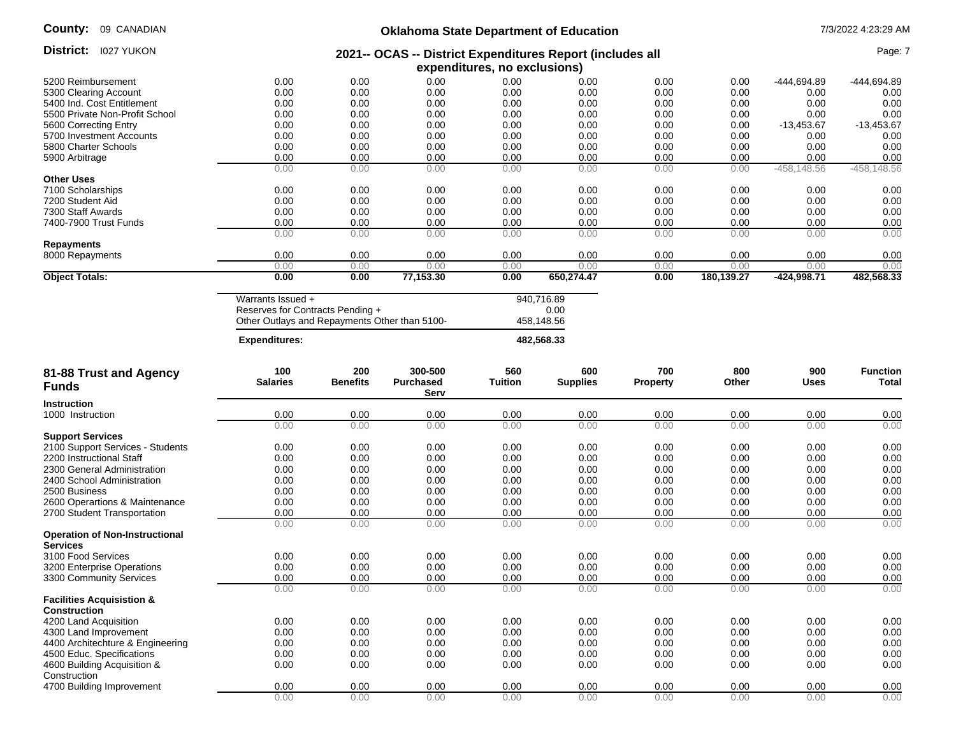District: 1027 YUKON

## **Oklahoma State Department of Education** 7/3/2022 4:23:29 AM

#### **2021-- OCAS -- District Expenditures Report (includes all District:** 1027 YUKON **Page: 7 (2021-- 2021-- OCAS -- District Expenditures Report (includes all contract and contract and contract Page: 7 (2021--**  $\alpha$

|                                |      |      |           | expenditures, no exclusions) |            |      |            |              |                |
|--------------------------------|------|------|-----------|------------------------------|------------|------|------------|--------------|----------------|
| 5200 Reimbursement             | 0.00 | 0.00 | 0.00      | 0.00                         | 0.00       | 0.00 | 0.00       | -444,694.89  | -444,694.89    |
| 5300 Clearing Account          | 0.00 | 0.00 | 0.00      | 0.00                         | 0.00       | 0.00 | 0.00       | 0.00         | 0.00           |
| 5400 Ind. Cost Entitlement     | 0.00 | 0.00 | 0.00      | 0.00                         | 0.00       | 0.00 | 0.00       | 0.00         | 0.00           |
| 5500 Private Non-Profit School | 0.00 | 0.00 | 0.00      | 0.00                         | 0.00       | 0.00 | 0.00       | 0.00         | 0.00           |
| 5600 Correcting Entry          | 0.00 | 0.00 | 0.00      | 0.00                         | 0.00       | 0.00 | 0.00       | $-13,453.67$ | $-13,453.67$   |
| 5700 Investment Accounts       | 0.00 | 0.00 | 0.00      | 0.00                         | 0.00       | 0.00 | 0.00       | 0.00         | 0.00           |
| 5800 Charter Schools           | 0.00 | 0.00 | 0.00      | 0.00                         | 0.00       | 0.00 | 0.00       | 0.00         | 0.00           |
| 5900 Arbitrage                 | 0.00 | 0.00 | 0.00      | 0.00                         | 0.00       | 0.00 | 0.00       | 0.00         | 0.00           |
|                                | 0.00 | 0.00 | 0.00      | 0.00                         | 0.00       | 0.00 | 0.00       | -458,148.56  | $-458, 148.56$ |
| <b>Other Uses</b>              |      |      |           |                              |            |      |            |              |                |
| 7100 Scholarships              | 0.00 | 0.00 | 0.00      | 0.00                         | 0.00       | 0.00 | 0.00       | 0.00         | 0.00           |
| 7200 Student Aid               | 0.00 | 0.00 | 0.00      | 0.00                         | 0.00       | 0.00 | 0.00       | 0.00         | 0.00           |
| 7300 Staff Awards              | 0.00 | 0.00 | 0.00      | 0.00                         | 0.00       | 0.00 | 0.00       | 0.00         | 0.00           |
| 7400-7900 Trust Funds          | 0.00 | 0.00 | 0.00      | 0.00                         | 0.00       | 0.00 | 0.00       | 0.00         | 0.00           |
|                                | 0.00 | 0.00 | 0.00      | 0.00                         | 0.00       | 0.00 | 0.00       | 0.00         | 0.00           |
| Repayments                     |      |      |           |                              |            |      |            |              |                |
| 8000 Repayments                | 0.00 | 0.00 | 0.00      | 0.00                         | 0.00       | 0.00 | 0.00       | 0.00         | 0.00           |
|                                | 0.00 | 0.00 | 0.00      | 0.00                         | 0.00       | 0.00 | 0.00       | 0.00         | 0.00           |
| <b>Object Totals:</b>          | 0.00 | 0.00 | 77,153.30 | 0.00                         | 650,274.47 | 0.00 | 180,139.27 | -424,998.71  | 482,568.33     |

| <b>Expenditures:</b>                          | 482.568.33 |
|-----------------------------------------------|------------|
| Other Outlays and Repayments Other than 5100- | 458.148.56 |
| Reserves for Contracts Pending +              | 0.00       |
| Warrants Issued +                             | 940.716.89 |

| 81-88 Trust and Agency<br><b>Funds</b>                      | 100<br><b>Salaries</b> | 200<br><b>Benefits</b> | 300-500<br><b>Purchased</b><br>Serv | 560<br><b>Tuition</b> | 600<br><b>Supplies</b> | 700<br><b>Property</b> | 800<br>Other | 900<br><b>Uses</b> | <b>Function</b><br><b>Total</b> |
|-------------------------------------------------------------|------------------------|------------------------|-------------------------------------|-----------------------|------------------------|------------------------|--------------|--------------------|---------------------------------|
| <b>Instruction</b>                                          |                        |                        |                                     |                       |                        |                        |              |                    |                                 |
| 1000 Instruction                                            | 0.00                   | 0.00                   | 0.00                                | 0.00                  | 0.00                   | 0.00                   | 0.00         | 0.00               | 0.00                            |
|                                                             | 0.00                   | 0.00                   | 0.00                                | 0.00                  | 0.00                   | 0.00                   | 0.00         | 0.00               | 0.00                            |
| <b>Support Services</b>                                     |                        |                        |                                     |                       |                        |                        |              |                    |                                 |
| 2100 Support Services - Students                            | 0.00                   | 0.00                   | 0.00                                | 0.00                  | 0.00                   | 0.00                   | 0.00         | 0.00               | 0.00                            |
| 2200 Instructional Staff                                    | 0.00                   | 0.00                   | 0.00                                | 0.00                  | 0.00                   | 0.00                   | 0.00         | 0.00               | 0.00                            |
| 2300 General Administration                                 | 0.00                   | 0.00                   | 0.00                                | 0.00                  | 0.00                   | 0.00                   | 0.00         | 0.00               | 0.00                            |
| 2400 School Administration                                  | 0.00                   | 0.00                   | 0.00                                | 0.00                  | 0.00                   | 0.00                   | 0.00         | 0.00               | 0.00                            |
| 2500 Business                                               | 0.00                   | 0.00                   | 0.00                                | 0.00                  | 0.00                   | 0.00                   | 0.00         | 0.00               | 0.00                            |
| 2600 Operartions & Maintenance                              | 0.00                   | 0.00                   | 0.00                                | 0.00                  | 0.00                   | 0.00                   | 0.00         | 0.00               | 0.00                            |
| 2700 Student Transportation                                 | 0.00                   | 0.00                   | 0.00                                | 0.00                  | 0.00                   | 0.00                   | 0.00         | 0.00               | 0.00                            |
|                                                             | 0.00                   | 0.00                   | 0.00                                | 0.00                  | 0.00                   | 0.00                   | 0.00         | 0.00               | 0.00                            |
| <b>Operation of Non-Instructional</b><br><b>Services</b>    |                        |                        |                                     |                       |                        |                        |              |                    |                                 |
| 3100 Food Services                                          | 0.00                   | 0.00                   | 0.00                                | 0.00                  | 0.00                   | 0.00                   | 0.00         | 0.00               | 0.00                            |
| 3200 Enterprise Operations                                  | 0.00                   | 0.00                   | 0.00                                | 0.00                  | 0.00                   | 0.00                   | 0.00         | 0.00               | 0.00                            |
| 3300 Community Services                                     | 0.00                   | 0.00                   | 0.00                                | 0.00                  | 0.00                   | 0.00                   | 0.00         | 0.00               | 0.00                            |
|                                                             | 0.00                   | 0.00                   | 0.00                                | 0.00                  | 0.00                   | 0.00                   | 0.00         | 0.00               | 0.00                            |
| <b>Facilities Acquisistion &amp;</b><br><b>Construction</b> |                        |                        |                                     |                       |                        |                        |              |                    |                                 |
| 4200 Land Acquisition                                       | 0.00                   | 0.00                   | 0.00                                | 0.00                  | 0.00                   | 0.00                   | 0.00         | 0.00               | 0.00                            |
| 4300 Land Improvement                                       | 0.00                   | 0.00                   | 0.00                                | 0.00                  | 0.00                   | 0.00                   | 0.00         | 0.00               | 0.00                            |
| 4400 Architechture & Engineering                            | 0.00                   | 0.00                   | 0.00                                | 0.00                  | 0.00                   | 0.00                   | 0.00         | 0.00               | 0.00                            |
| 4500 Educ. Specifications                                   | 0.00                   | 0.00                   | 0.00                                | 0.00                  | 0.00                   | 0.00                   | 0.00         | 0.00               | 0.00                            |
| 4600 Building Acquisition &<br>Construction                 | 0.00                   | 0.00                   | 0.00                                | 0.00                  | 0.00                   | 0.00                   | 0.00         | 0.00               | 0.00                            |
| 4700 Building Improvement                                   | 0.00                   | 0.00                   | 0.00                                | 0.00                  | 0.00                   | 0.00                   | 0.00         | 0.00               | 0.00                            |
|                                                             | 0.00                   | 0.00                   | 0.00                                | 0.00                  | 0.00                   | 0.00                   | 0.00         | 0.00               | 0.00                            |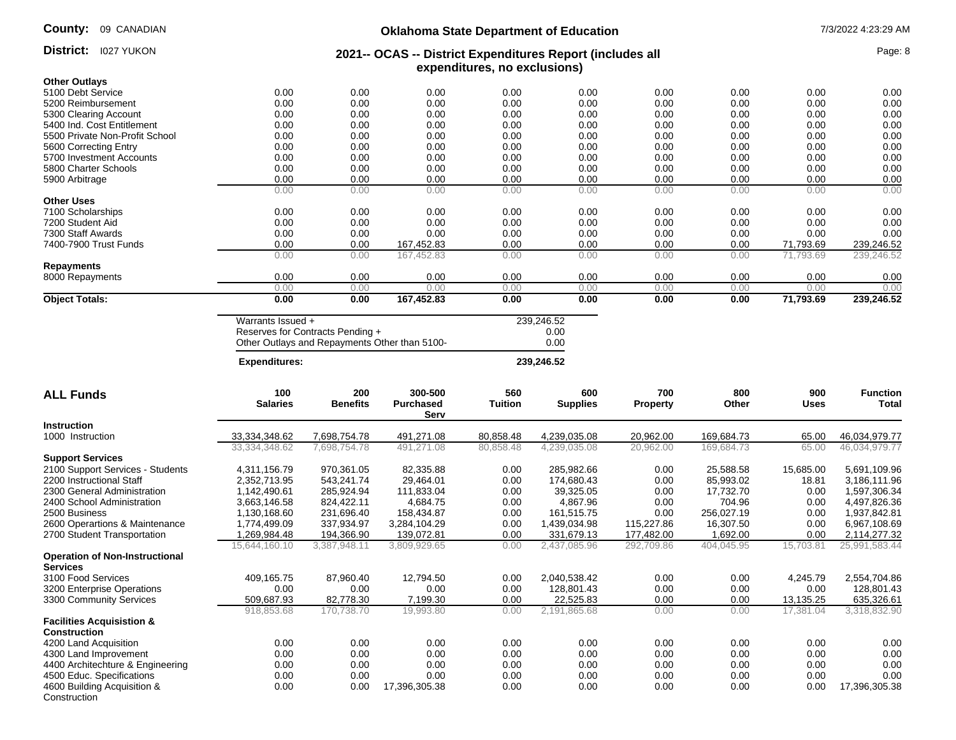District: 1027 YUKON

## **Oklahoma State Department of Education** 7/3/2022 4:23:29 AM

#### **2021-- OCAS -- District Expenditures Report (includes all expenditures, no exclusions) District:** 1027 YUKON **Page: 8 Page: 8 2021-- OCAS -- District Expenditures Report (includes all Page: 8 Page: 8**

| <b>Other Outlavs</b>             |                        |                                               |                  |                       |                        |                        |              |                    |                                 |
|----------------------------------|------------------------|-----------------------------------------------|------------------|-----------------------|------------------------|------------------------|--------------|--------------------|---------------------------------|
| 5100 Debt Service                | 0.00                   | 0.00                                          | 0.00             | 0.00                  | 0.00                   | 0.00                   | 0.00         | 0.00               | 0.00                            |
| 5200 Reimbursement               | 0.00                   | 0.00                                          | 0.00             | 0.00                  | 0.00                   | 0.00                   | 0.00         | 0.00               | 0.00                            |
| 5300 Clearing Account            | 0.00                   | 0.00                                          | 0.00             | 0.00                  | 0.00                   | 0.00                   | 0.00         | 0.00               | 0.00                            |
| 5400 Ind. Cost Entitlement       | 0.00                   | 0.00                                          | 0.00             | 0.00                  | 0.00                   | 0.00                   | 0.00         | 0.00               | 0.00                            |
| 5500 Private Non-Profit School   | 0.00                   | 0.00                                          | 0.00             | 0.00                  | 0.00                   | 0.00                   | 0.00         | 0.00               | 0.00                            |
| 5600 Correcting Entry            | 0.00                   | 0.00                                          | 0.00             | 0.00                  | 0.00                   | 0.00                   | 0.00         | 0.00               | 0.00                            |
| 5700 Investment Accounts         | 0.00                   | 0.00                                          | 0.00             | 0.00                  | 0.00                   | 0.00                   | 0.00         | 0.00               | 0.00                            |
| 5800 Charter Schools             | 0.00                   | 0.00                                          | 0.00             | 0.00                  | 0.00                   | 0.00                   | 0.00         | 0.00               | 0.00                            |
| 5900 Arbitrage                   | 0.00                   | 0.00                                          | 0.00             | 0.00                  | 0.00                   | 0.00                   | 0.00         | 0.00               | 0.00                            |
|                                  | 0.00                   | 0.00                                          | 0.00             | 0.00                  | 0.00                   | 0.00                   | 0.00         | 0.00               | 0.00                            |
| <b>Other Uses</b>                |                        |                                               |                  |                       |                        |                        |              |                    |                                 |
| 7100 Scholarships                | 0.00                   | 0.00                                          | 0.00             | 0.00                  | 0.00                   | 0.00                   | 0.00         | 0.00               | 0.00                            |
| 7200 Student Aid                 | 0.00                   | 0.00                                          | 0.00             | 0.00                  | 0.00                   | 0.00                   | 0.00         | 0.00               | 0.00                            |
| 7300 Staff Awards                | 0.00                   | 0.00                                          | 0.00             | 0.00                  | 0.00                   | 0.00                   | 0.00         | 0.00               | 0.00                            |
| 7400-7900 Trust Funds            | 0.00                   | 0.00                                          | 167,452.83       | 0.00                  | 0.00                   | 0.00                   | 0.00         | 71,793.69          | 239,246.52                      |
|                                  | 0.00                   | 0.00                                          | 167,452.83       | 0.00                  | 0.00                   | 0.00                   | 0.00         | 71,793.69          | 239,246.52                      |
| <b>Repayments</b>                |                        |                                               |                  |                       |                        |                        |              |                    |                                 |
| 8000 Repayments                  | 0.00                   | 0.00                                          | 0.00             | 0.00                  | 0.00                   | 0.00                   | 0.00         | 0.00               | 0.00                            |
|                                  | 0.00                   | 0.00                                          | 0.00             | 0.00                  | 0.00                   | 0.00                   | 0.00         | 0.00               | 0.00                            |
| <b>Object Totals:</b>            | 0.00                   | 0.00                                          | 167,452.83       | 0.00                  | 0.00                   | 0.00                   | 0.00         | 71,793.69          | 239,246.52                      |
|                                  |                        |                                               |                  |                       |                        |                        |              |                    |                                 |
|                                  | Warrants Issued +      |                                               |                  |                       | 239,246.52             |                        |              |                    |                                 |
|                                  |                        | Reserves for Contracts Pending +              |                  |                       | 0.00                   |                        |              |                    |                                 |
|                                  |                        | Other Outlays and Repayments Other than 5100- |                  |                       | 0.00                   |                        |              |                    |                                 |
|                                  | <b>Expenditures:</b>   |                                               |                  |                       | 239,246.52             |                        |              |                    |                                 |
|                                  |                        |                                               | 300-500          |                       |                        |                        |              |                    |                                 |
| <b>ALL Funds</b>                 | 100<br><b>Salaries</b> | 200<br><b>Benefits</b>                        | <b>Purchased</b> | 560<br><b>Tuition</b> | 600<br><b>Supplies</b> | 700<br><b>Property</b> | 800<br>Other | 900<br><b>Uses</b> | <b>Function</b><br><b>Total</b> |
|                                  |                        |                                               | Serv             |                       |                        |                        |              |                    |                                 |
| <b>Instruction</b>               |                        |                                               |                  |                       |                        |                        |              |                    |                                 |
| 1000 Instruction                 | 33,334,348.62          | 7,698,754.78                                  | 491,271.08       | 80,858.48             | 4,239,035.08           | 20,962.00              | 169,684.73   | 65.00              | 46,034,979.77                   |
|                                  | 33,334,348.62          | 7,698,754.78                                  | 491,271.08       | 80,858.48             | 4,239,035.08           | 20,962.00              | 169,684.73   | 65.00              | 46,034,979.77                   |
| <b>Support Services</b>          |                        |                                               |                  |                       |                        |                        |              |                    |                                 |
| 2100 Support Services - Students | 4,311,156.79           | 970,361.05                                    | 82,335.88        | 0.00                  | 285,982.66             | 0.00                   | 25,588.58    | 15,685.00          | 5,691,109.96                    |
| 2200 Instructional Staff         | 2,352,713.95           | 543,241.74                                    | 29,464.01        | 0.00                  | 174.680.43             | 0.00                   | 85,993.02    | 18.81              | 3,186,111.96                    |
| 2300 General Administration      | 1,142,490.61           | 285,924.94                                    | 111,833.04       | 0.00                  | 39,325.05              | 0.00                   | 17,732.70    | 0.00               | 1,597,306.34                    |
| 2400 School Administration       | 3,663,146.58           | 824,422.11                                    | 4,684.75         | 0.00                  | 4,867.96               | 0.00                   | 704.96       | 0.00               | 4,497,826.36                    |
| 2500 Business                    | 1,130,168.60           | 231,696.40                                    | 158,434.87       | 0.00                  | 161,515.75             | 0.00                   | 256,027.19   | 0.00               | 1,937,842.81                    |
| 2600 Operartions & Maintenance   | 1,774,499.09           | 337,934.97                                    | 3,284,104.29     | 0.00                  | 1,439,034.98           | 115,227.86             | 16,307.50    | 0.00               | 6,967,108.69                    |
|                                  |                        |                                               |                  |                       |                        |                        |              |                    |                                 |

| 2700 Student Transportation                                 | .269.984.48   | 194.366.90   | 139.072.81    | 0.00 | 331.679.13   | 177.482.00 | .692.00    | 0.00      | 2,114,277.32  |
|-------------------------------------------------------------|---------------|--------------|---------------|------|--------------|------------|------------|-----------|---------------|
|                                                             | 15.644.160.10 | 3.387.948.11 | 3,809,929.65  | 0.00 | 2.437.085.96 | 292,709.86 | 404.045.95 | 15.703.81 | 25,991,583.44 |
| <b>Operation of Non-Instructional</b><br><b>Services</b>    |               |              |               |      |              |            |            |           |               |
| 3100 Food Services                                          | 409.165.75    | 87.960.40    | 12.794.50     | 0.00 | 2.040.538.42 | 0.00       | 0.00       | 4.245.79  | 2,554,704.86  |
| 3200 Enterprise Operations                                  | 0.00          | 0.00         | 0.00          | 0.00 | 128.801.43   | 0.00       | 0.00       | 0.00      | 128.801.43    |
| 3300 Community Services                                     | 509,687.93    | 82,778.30    | 7,199.30      | 0.00 | 22.525.83    | 0.00       | 0.00       | 13.135.25 | 635,326.61    |
|                                                             | 918.853.68    | 170.738.70   | 19,993.80     | 0.00 | 2,191,865.68 | 0.00       | 0.00       | 17.381.04 | 3,318,832.90  |
| <b>Facilities Acquisistion &amp;</b><br><b>Construction</b> |               |              |               |      |              |            |            |           |               |
| 4200 Land Acquisition                                       | 0.00          | 0.00         | 0.00          | 0.00 | 0.00         | 0.00       | 0.00       | 0.00      | 0.00          |
| 4300 Land Improvement                                       | 0.00          | 0.00         | 0.00          | 0.00 | 0.00         | 0.00       | 0.00       | 0.00      | 0.00          |
| 4400 Architechture & Engineering                            | 0.00          | 0.00         | 0.00          | 0.00 | 0.00         | 0.00       | 0.00       | 0.00      | 0.00          |
| 4500 Educ. Specifications                                   | 0.00          | 0.00         | 0.00          | 0.00 | 0.00         | 0.00       | 0.00       | 0.00      | 0.00          |
| 4600 Building Acquisition &<br>Construction                 | 0.00          | 0.00         | 17.396.305.38 | 0.00 | 0.00         | 0.00       | 0.00       | 0.00      | 17.396.305.38 |